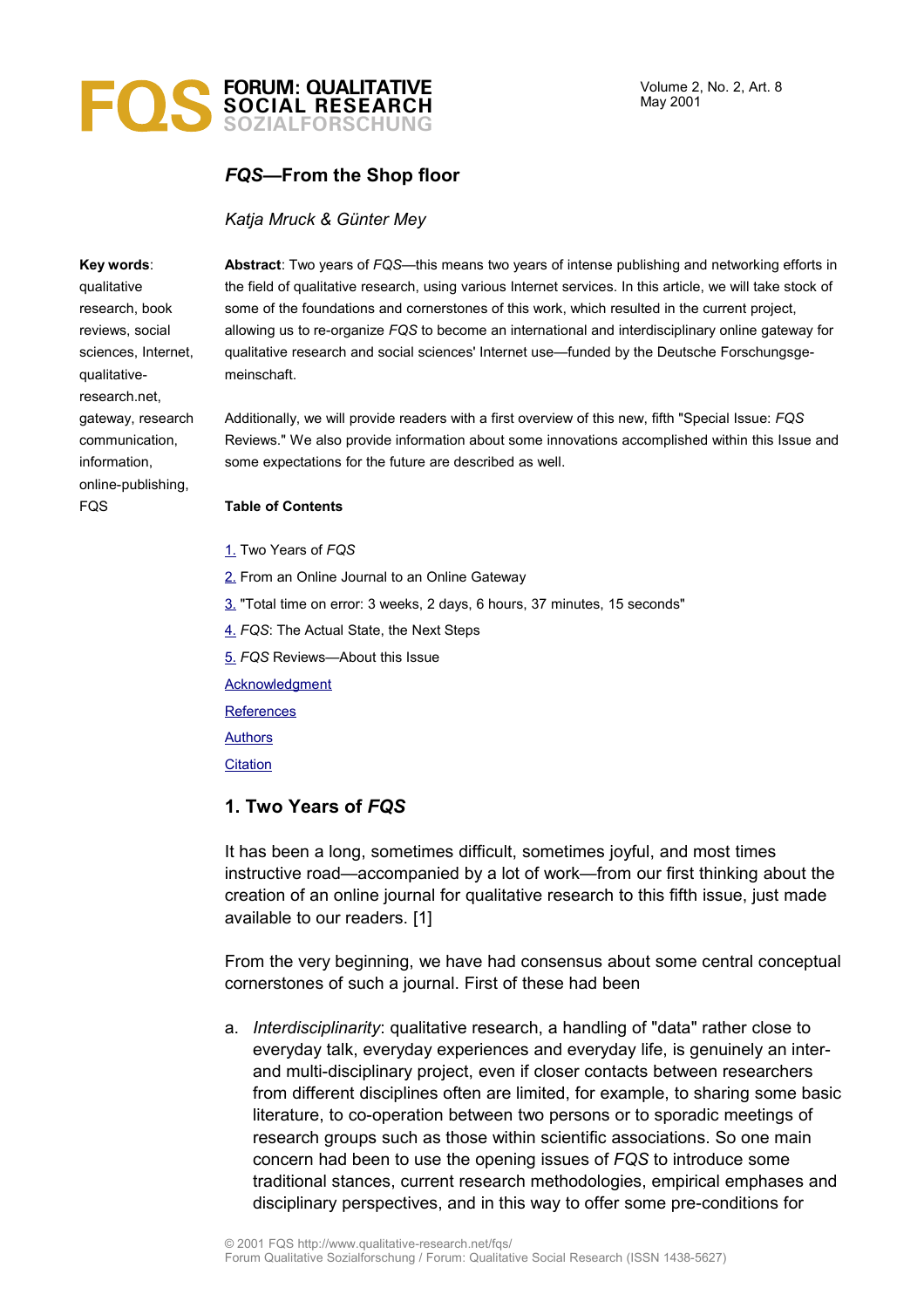# **FORUM: QUALITATIVE SOCIAL RESEARCH SOZIALFORSCHUNG**

# *FQS***—From the Shop floor**

### *Katja Mruck & Günter Mey*

#### **Key words**:

qualitative research, book reviews, social sciences, Internet, qualitativeresearch.net, gateway, research communication, information, online-publishing, **FQS** 

**Abstract**: Two years of *FQS*—this means two years of intense publishing and networking efforts in the field of qualitative research, using various Internet services. In this article, we will take stock of some of the foundations and cornerstones of this work, which resulted in the current project, allowing us to re-organize *FQS* to become an international and interdisciplinary online gateway for qualitative research and social sciences' Internet use—funded by the Deutsche Forschungsgemeinschaft.

Additionally, we will provide readers with a first overview of this new, fifth "Special Issue: *FQS* Reviews." We also provide information about some innovations accomplished within this Issue and some expectations for the future are described as well.

#### **Table of Contents**

- [1.](#page-0-0) Two Years of *FQS*
- [2.](#page-4-0) From an Online Journal to an Online Gateway
- [3.](#page-6-0) "Total time on error: 3 weeks, 2 days, 6 hours, 37 minutes, 15 seconds"
- [4.](#page-7-0) *FQS*: The Actual State, the Next Steps
- [5.](#page-11-0) *FQS* Reviews—About this Issue

**[Acknowledgment](#page-15-1)** 

**[References](#page-15-0)** 

[Authors](#page-16-1)

**[Citation](#page-16-0)** 

## <span id="page-0-0"></span>**1. Two Years of** *FQS*

It has been a long, sometimes difficult, sometimes joyful, and most times instructive road—accompanied by a lot of work—from our first thinking about the creation of an online journal for qualitative research to this fifth issue, just made available to our readers. [1]

From the very beginning, we have had consensus about some central conceptual cornerstones of such a journal. First of these had been

a. *Interdisciplinarity*: qualitative research, a handling of "data" rather close to everyday talk, everyday experiences and everyday life, is genuinely an interand multi-disciplinary project, even if closer contacts between researchers from different disciplines often are limited, for example, to sharing some basic literature, to co-operation between two persons or to sporadic meetings of research groups such as those within scientific associations. So one main concern had been to use the opening issues of *FQS* to introduce some traditional stances, current research methodologies, empirical emphases and disciplinary perspectives, and in this way to offer some pre-conditions for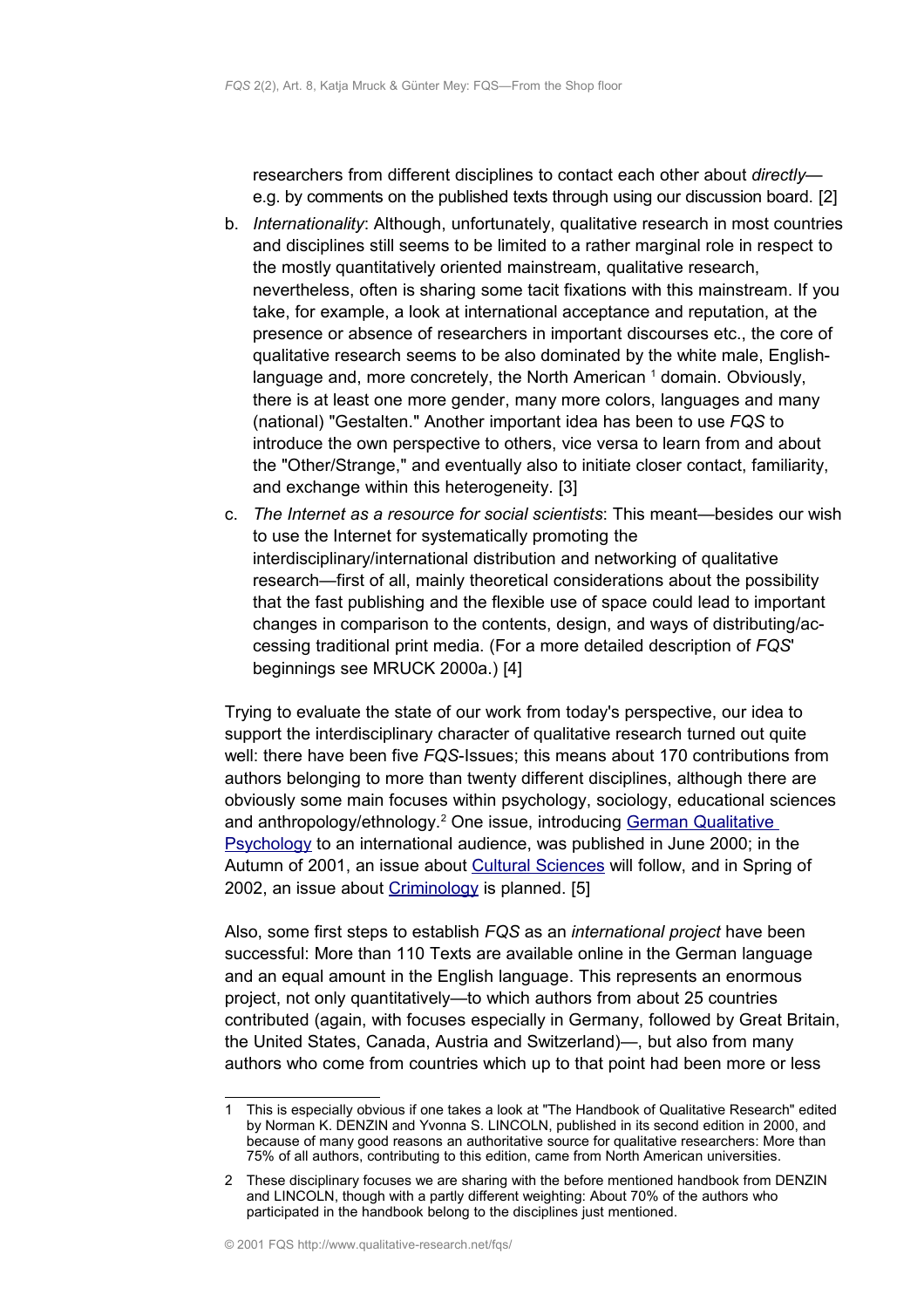researchers from different disciplines to contact each other about *directly* e.g. by comments on the published texts through using our discussion board. [2]

- b. *Internationality*: Although, unfortunately, qualitative research in most countries and disciplines still seems to be limited to a rather marginal role in respect to the mostly quantitatively oriented mainstream, qualitative research, nevertheless, often is sharing some tacit fixations with this mainstream. If you take, for example, a look at international acceptance and reputation, at the presence or absence of researchers in important discourses etc., the core of qualitative research seems to be also dominated by the white male, Englishlanguage and, more concretely, the North American  $1$  domain. Obviously, there is at least one more gender, many more colors, languages and many (national) "Gestalten." Another important idea has been to use *FQS* to introduce the own perspective to others, vice versa to learn from and about the "Other/Strange," and eventually also to initiate closer contact, familiarity, and exchange within this heterogeneity. [3]
- c. *The Internet as a resource for social scientists*: This meant—besides our wish to use the Internet for systematically promoting the interdisciplinary/international distribution and networking of qualitative research—first of all, mainly theoretical considerations about the possibility that the fast publishing and the flexible use of space could lead to important changes in comparison to the contents, design, and ways of distributing/accessing traditional print media. (For a more detailed description of *FQS*' beginnings see MRUCK 2000a.) [4]

Trying to evaluate the state of our work from today's perspective, our idea to support the interdisciplinary character of qualitative research turned out quite well: there have been five *FQS*-Issues; this means about 170 contributions from authors belonging to more than twenty different disciplines, although there are obviously some main focuses within psychology, sociology, educational sciences and anthropology/ethnology.<sup>[2](#page-1-1)</sup> One issue, introducing [German Qualitative](http://www.qualitative-research.net/fqs/fqs-e/inhalt2-00-e.htm) [Psychology](http://www.qualitative-research.net/fqs/fqs-e/inhalt2-00-e.htm) to an international audience, was published in June 2000; in the Autumn of 2001, an issue about [Cultural Sciences](http://www.qualitative-research.net/fqs/fqs-e/inhalt3-01-e.htm) will follow, and in Spring of 2002, an issue about [Criminology](http://www.qualitative-research.net/fqs/fqs-e/inhalt1-02-e.htm) is planned. [5]

Also, some first steps to establish *FQS* as an *international project* have been successful: More than 110 Texts are available online in the German language and an equal amount in the English language. This represents an enormous project, not only quantitatively—to which authors from about 25 countries contributed (again, with focuses especially in Germany, followed by Great Britain, the United States, Canada, Austria and Switzerland)—, but also from many authors who come from countries which up to that point had been more or less

<span id="page-1-0"></span><sup>1</sup> This is especially obvious if one takes a look at "The Handbook of Qualitative Research" edited by Norman K. DENZIN and Yvonna S. LINCOLN, published in its second edition in 2000, and because of many good reasons an authoritative source for qualitative researchers: More than 75% of all authors, contributing to this edition, came from North American universities.

<span id="page-1-1"></span><sup>2</sup> These disciplinary focuses we are sharing with the before mentioned handbook from DENZIN and LINCOLN, though with a partly different weighting: About 70% of the authors who participated in the handbook belong to the disciplines just mentioned.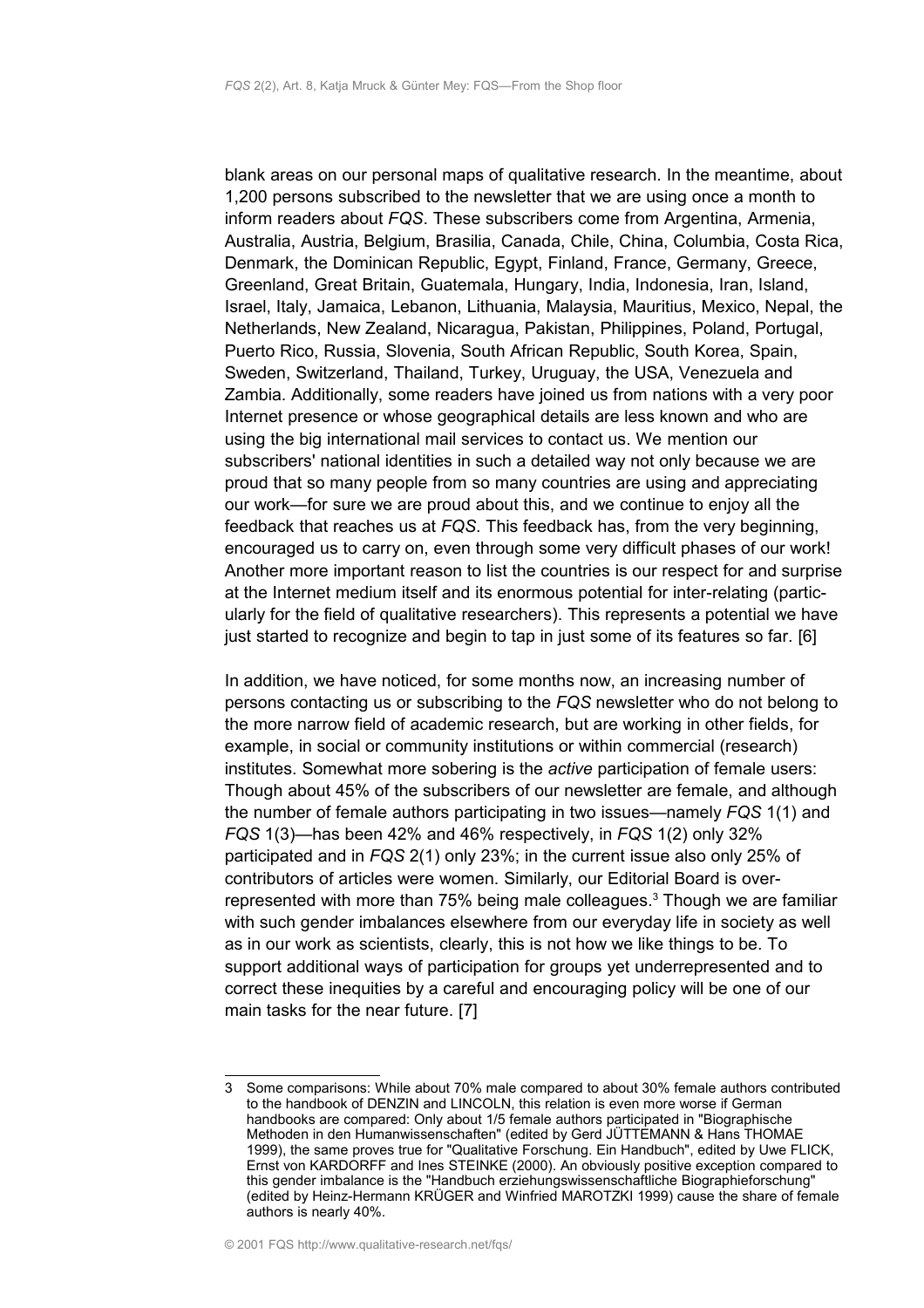blank areas on our personal maps of qualitative research. In the meantime, about 1,200 persons subscribed to the newsletter that we are using once a month to inform readers about *FQS*. These subscribers come from Argentina, Armenia, Australia, Austria, Belgium, Brasilia, Canada, Chile, China, Columbia, Costa Rica, Denmark, the Dominican Republic, Egypt, Finland, France, Germany, Greece, Greenland, Great Britain, Guatemala, Hungary, India, Indonesia, Iran, Island, Israel, Italy, Jamaica, Lebanon, Lithuania, Malaysia, Mauritius, Mexico, Nepal, the Netherlands, New Zealand, Nicaragua, Pakistan, Philippines, Poland, Portugal, Puerto Rico, Russia, Slovenia, South African Republic, South Korea, Spain, Sweden, Switzerland, Thailand, Turkey, Uruguay, the USA, Venezuela and Zambia. Additionally, some readers have joined us from nations with a very poor Internet presence or whose geographical details are less known and who are using the big international mail services to contact us. We mention our subscribers' national identities in such a detailed way not only because we are proud that so many people from so many countries are using and appreciating our work—for sure we are proud about this, and we continue to enjoy all the feedback that reaches us at *FQS*. This feedback has, from the very beginning, encouraged us to carry on, even through some very difficult phases of our work! Another more important reason to list the countries is our respect for and surprise at the Internet medium itself and its enormous potential for inter-relating (particularly for the field of qualitative researchers). This represents a potential we have just started to recognize and begin to tap in just some of its features so far. [6]

In addition, we have noticed, for some months now, an increasing number of persons contacting us or subscribing to the *FQS* newsletter who do not belong to the more narrow field of academic research, but are working in other fields, for example, in social or community institutions or within commercial (research) institutes. Somewhat more sobering is the *active* participation of female users: Though about 45% of the subscribers of our newsletter are female, and although the number of female authors participating in two issues—namely *FQS* 1(1) and *FQS* 1(3)—has been 42% and 46% respectively, in *FQS* 1(2) only 32% participated and in *FQS* 2(1) only 23%; in the current issue also only 25% of contributors of articles were women. Similarly, our Editorial Board is over-represented with more than 75% being male colleagues.<sup>[3](#page-2-0)</sup> Though we are familiar with such gender imbalances elsewhere from our everyday life in society as well as in our work as scientists, clearly, this is not how we like things to be. To support additional ways of participation for groups yet underrepresented and to correct these inequities by a careful and encouraging policy will be one of our main tasks for the near future. [7]

<span id="page-2-0"></span><sup>3</sup> Some comparisons: While about 70% male compared to about 30% female authors contributed to the handbook of DENZIN and LINCOLN, this relation is even more worse if German handbooks are compared: Only about 1/5 female authors participated in "Biographische Methoden in den Humanwissenschaften" (edited by Gerd JÜTTEMANN & Hans THOMAE 1999), the same proves true for "Qualitative Forschung. Ein Handbuch", edited by Uwe FLICK, Ernst von KARDORFF and Ines STEINKE (2000). An obviously positive exception compared to this gender imbalance is the "Handbuch erziehungswissenschaftliche Biographieforschung" (edited by Heinz-Hermann KRÜGER and Winfried MAROTZKI 1999) cause the share of female authors is nearly 40%.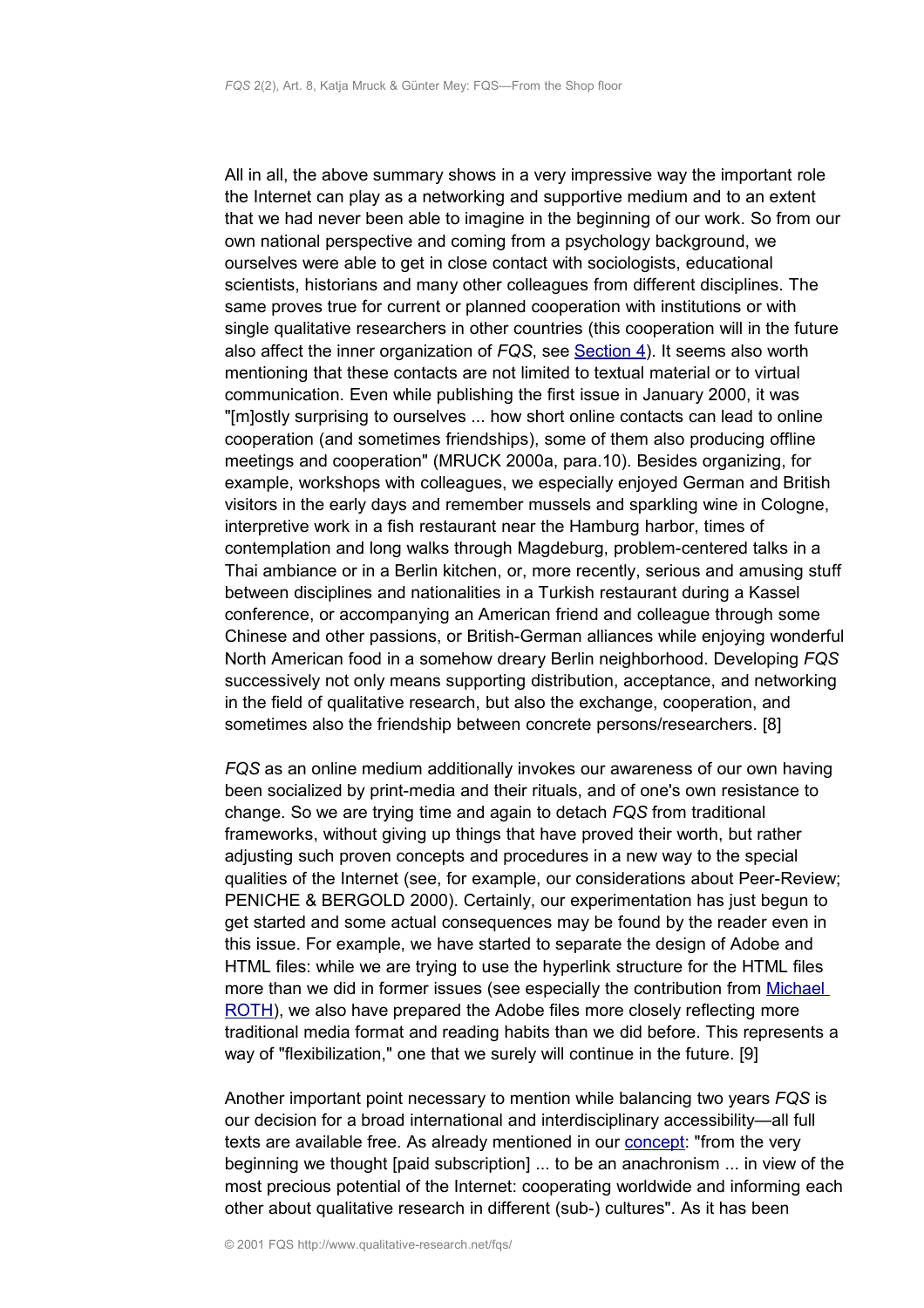All in all, the above summary shows in a very impressive way the important role the Internet can play as a networking and supportive medium and to an extent that we had never been able to imagine in the beginning of our work. So from our own national perspective and coming from a psychology background, we ourselves were able to get in close contact with sociologists, educational scientists, historians and many other colleagues from different disciplines. The same proves true for current or planned cooperation with institutions or with single qualitative researchers in other countries (this cooperation will in the future also affect the inner organization of *FQS*, see [Section 4\)](#page-7-0). It seems also worth mentioning that these contacts are not limited to textual material or to virtual communication. Even while publishing the first issue in January 2000, it was "[m]ostly surprising to ourselves ... how short online contacts can lead to online cooperation (and sometimes friendships), some of them also producing offline meetings and cooperation" (MRUCK 2000a, para.10). Besides organizing, for example, workshops with colleagues, we especially enjoyed German and British visitors in the early days and remember mussels and sparkling wine in Cologne, interpretive work in a fish restaurant near the Hamburg harbor, times of contemplation and long walks through Magdeburg, problem-centered talks in a Thai ambiance or in a Berlin kitchen, or, more recently, serious and amusing stuff between disciplines and nationalities in a Turkish restaurant during a Kassel conference, or accompanying an American friend and colleague through some Chinese and other passions, or British-German alliances while enjoying wonderful North American food in a somehow dreary Berlin neighborhood. Developing *FQS* successively not only means supporting distribution, acceptance, and networking in the field of qualitative research, but also the exchange, cooperation, and sometimes also the friendship between concrete persons/researchers. [8]

*FQS* as an online medium additionally invokes our awareness of our own having been socialized by print-media and their rituals, and of one's own resistance to change. So we are trying time and again to detach *FQS* from traditional frameworks, without giving up things that have proved their worth, but rather adjusting such proven concepts and procedures in a new way to the special qualities of the Internet (see, for example, our considerations about Peer-Review; PENICHE & BERGOLD 2000). Certainly, our experimentation has just begun to get started and some actual consequences may be found by the reader even in this issue. For example, we have started to separate the design of Adobe and HTML files: while we are trying to use the hyperlink structure for the HTML files more than we did in former issues (see especially the contribution from [Michael](http://www.qualitative-research.net/fqs-texte/2-01/2-01review-roth-e.htm) [ROTH\)](http://www.qualitative-research.net/fqs-texte/2-01/2-01review-roth-e.htm), we also have prepared the Adobe files more closely reflecting more traditional media format and reading habits than we did before. This represents a way of "flexibilization," one that we surely will continue in the future. [9]

Another important point necessary to mention while balancing two years *FQS* is our decision for a broad international and interdisciplinary accessibility—all full texts are available free. As already mentioned in our [concept:](http://www.qualitative-research.net/fqs/fqs-e/info-e.htm) "from the very beginning we thought [paid subscription] ... to be an anachronism ... in view of the most precious potential of the Internet: cooperating worldwide and informing each other about qualitative research in different (sub-) cultures". As it has been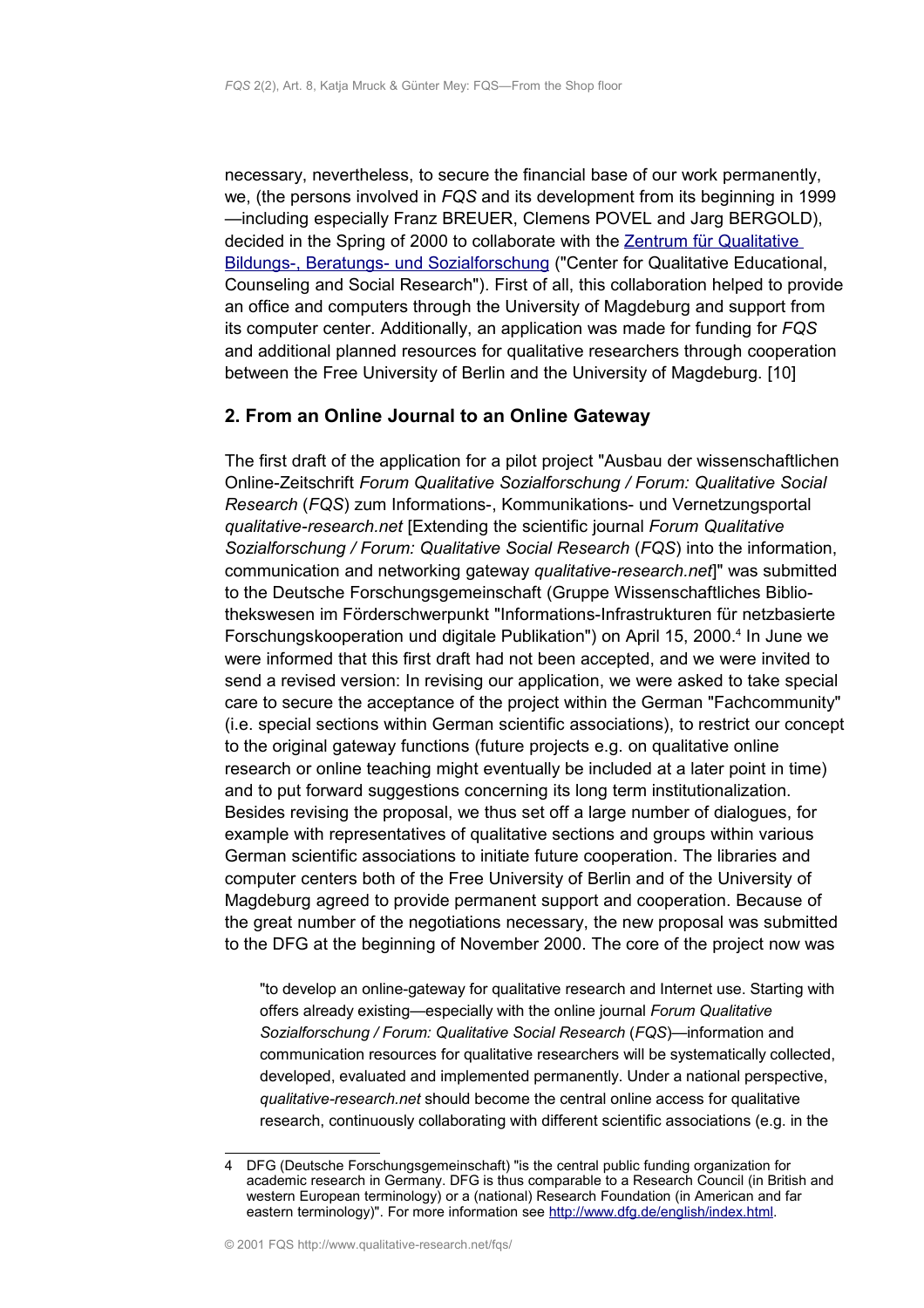necessary, nevertheless, to secure the financial base of our work permanently, we, (the persons involved in *FQS* and its development from its beginning in 1999 —including especially Franz BREUER, Clemens POVEL and Jarg BERGOLD), decided in the Spring of 2000 to collaborate with the [Zentrum für Qualitative](http://www.zbbs.de/) Bildungs-, Beratungs- und Sozialforschung ("Center for Qualitative Educational, Counseling and Social Research"). First of all, this collaboration helped to provide an office and computers through the University of Magdeburg and support from its computer center. Additionally, an application was made for funding for *FQS* and additional planned resources for qualitative researchers through cooperation between the Free University of Berlin and the University of Magdeburg. [10]

## <span id="page-4-0"></span>**2. From an Online Journal to an Online Gateway**

The first draft of the application for a pilot project "Ausbau der wissenschaftlichen Online-Zeitschrift *Forum Qualitative Sozialforschung / Forum: Qualitative Social Research* (*FQS*) zum Informations-, Kommunikations- und Vernetzungsportal *qualitative-research.net* [Extending the scientific journal *Forum Qualitative Sozialforschung / Forum: Qualitative Social Research* (*FQS*) into the information, communication and networking gateway *qualitative-research.net*]" was submitted to the Deutsche Forschungsgemeinschaft (Gruppe Wissenschaftliches Bibliothekswesen im Förderschwerpunkt "Informations-Infrastrukturen für netzbasierte Forschungskooperation und digitale Publikation") on April 15, 2000.<sup>[4](#page-4-1)</sup> In June we were informed that this first draft had not been accepted, and we were invited to send a revised version: In revising our application, we were asked to take special care to secure the acceptance of the project within the German "Fachcommunity" (i.e. special sections within German scientific associations), to restrict our concept to the original gateway functions (future projects e.g. on qualitative online research or online teaching might eventually be included at a later point in time) and to put forward suggestions concerning its long term institutionalization. Besides revising the proposal, we thus set off a large number of dialogues, for example with representatives of qualitative sections and groups within various German scientific associations to initiate future cooperation. The libraries and computer centers both of the Free University of Berlin and of the University of Magdeburg agreed to provide permanent support and cooperation. Because of the great number of the negotiations necessary, the new proposal was submitted to the DFG at the beginning of November 2000. The core of the project now was

"to develop an online-gateway for qualitative research and Internet use. Starting with offers already existing—especially with the online journal *Forum Qualitative Sozialforschung / Forum: Qualitative Social Research* (*FQS*)—information and communication resources for qualitative researchers will be systematically collected, developed, evaluated and implemented permanently. Under a national perspective, *qualitative-research.net* should become the central online access for qualitative research, continuously collaborating with different scientific associations (e.g. in the

<span id="page-4-1"></span><sup>4</sup> DFG (Deutsche Forschungsgemeinschaft) "is the central public funding organization for academic research in Germany. DFG is thus comparable to a Research Council (in British and western European terminology) or a (national) Research Foundation (in American and far eastern terminology)". For more information see [http://www.dfg.de/english/index.html.](http://www.dfg.de/english/index.html)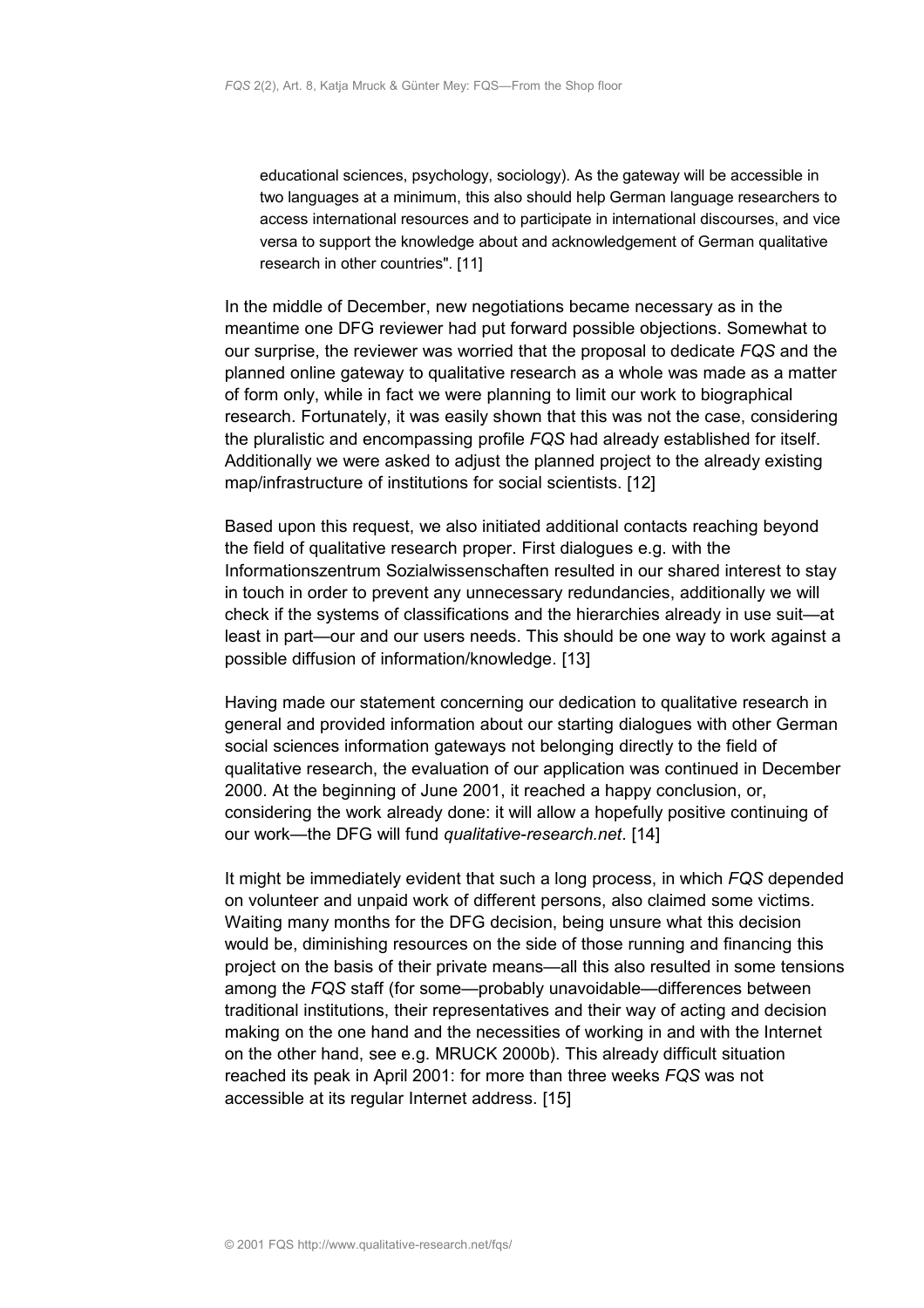educational sciences, psychology, sociology). As the gateway will be accessible in two languages at a minimum, this also should help German language researchers to access international resources and to participate in international discourses, and vice versa to support the knowledge about and acknowledgement of German qualitative research in other countries". [11]

In the middle of December, new negotiations became necessary as in the meantime one DFG reviewer had put forward possible objections. Somewhat to our surprise, the reviewer was worried that the proposal to dedicate *FQS* and the planned online gateway to qualitative research as a whole was made as a matter of form only, while in fact we were planning to limit our work to biographical research. Fortunately, it was easily shown that this was not the case, considering the pluralistic and encompassing profile *FQS* had already established for itself. Additionally we were asked to adjust the planned project to the already existing map/infrastructure of institutions for social scientists. [12]

Based upon this request, we also initiated additional contacts reaching beyond the field of qualitative research proper. First dialogues e.g. with the Informationszentrum Sozialwissenschaften resulted in our shared interest to stay in touch in order to prevent any unnecessary redundancies, additionally we will check if the systems of classifications and the hierarchies already in use suit—at least in part—our and our users needs. This should be one way to work against a possible diffusion of information/knowledge. [13]

Having made our statement concerning our dedication to qualitative research in general and provided information about our starting dialogues with other German social sciences information gateways not belonging directly to the field of qualitative research, the evaluation of our application was continued in December 2000. At the beginning of June 2001, it reached a happy conclusion, or, considering the work already done: it will allow a hopefully positive continuing of our work—the DFG will fund *qualitative-research.net*. [14]

It might be immediately evident that such a long process, in which *FQS* depended on volunteer and unpaid work of different persons, also claimed some victims. Waiting many months for the DFG decision, being unsure what this decision would be, diminishing resources on the side of those running and financing this project on the basis of their private means—all this also resulted in some tensions among the *FQS* staff (for some—probably unavoidable—differences between traditional institutions, their representatives and their way of acting and decision making on the one hand and the necessities of working in and with the Internet on the other hand, see e.g. MRUCK 2000b). This already difficult situation reached its peak in April 2001: for more than three weeks *FQS* was not accessible at its regular Internet address. [15]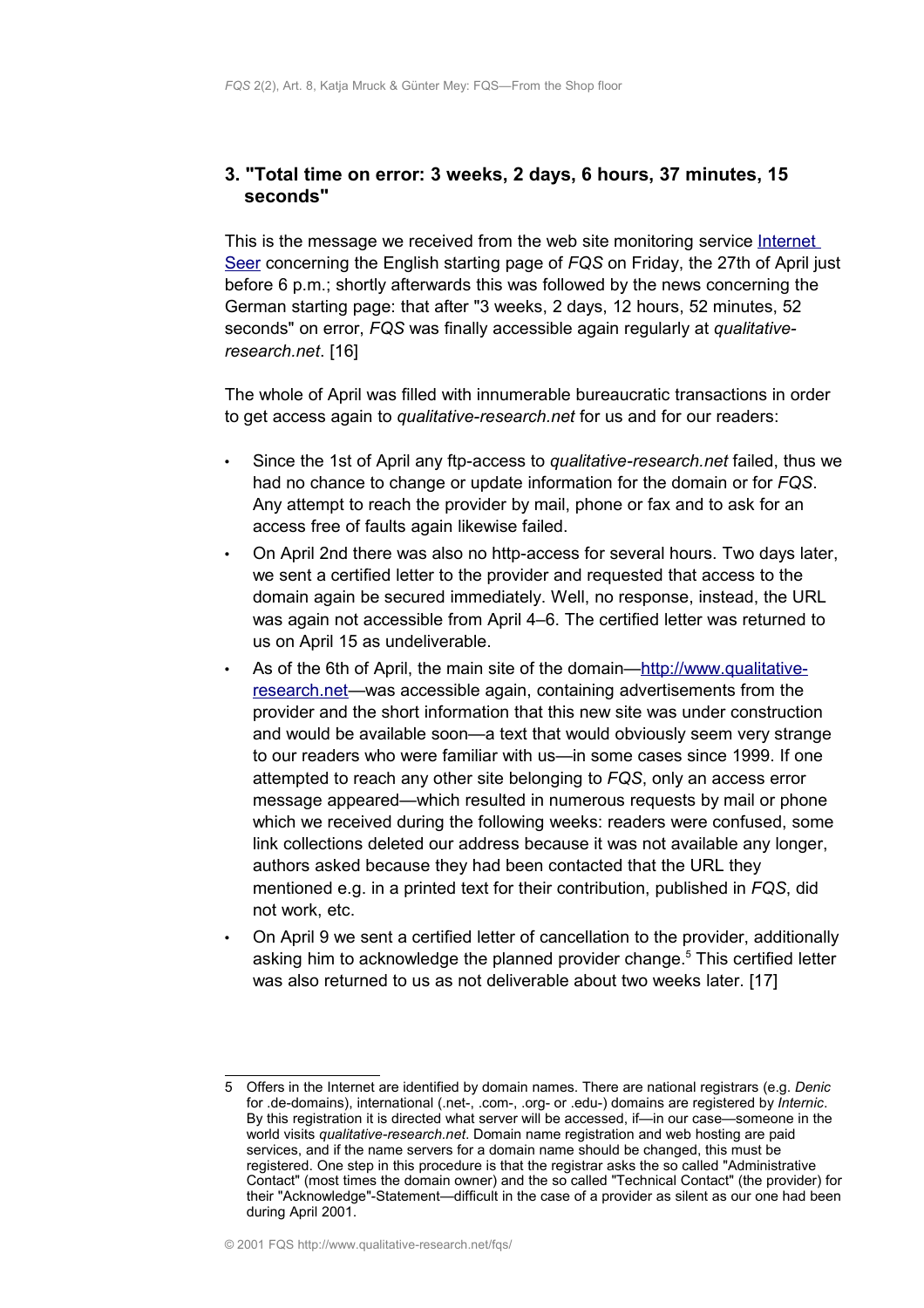## <span id="page-6-0"></span>**3. "Total time on error: 3 weeks, 2 days, 6 hours, 37 minutes, 15 seconds"**

This is the message we received from the web site monitoring service [Internet](http://www.internetseer.com/) [Seer](http://www.internetseer.com/) concerning the English starting page of *FQS* on Friday, the 27th of April just before 6 p.m.; shortly afterwards this was followed by the news concerning the German starting page: that after "3 weeks, 2 days, 12 hours, 52 minutes, 52 seconds" on error, *FQS* was finally accessible again regularly at *qualitativeresearch.net*. [16]

The whole of April was filled with innumerable bureaucratic transactions in order to get access again to *qualitative-research.net* for us and for our readers:

- Since the 1st of April any ftp-access to *qualitative-research.net* failed, thus we had no chance to change or update information for the domain or for *FQS*. Any attempt to reach the provider by mail, phone or fax and to ask for an access free of faults again likewise failed.
- On April 2nd there was also no http-access for several hours. Two days later, we sent a certified letter to the provider and requested that access to the domain again be secured immediately. Well, no response, instead, the URL was again not accessible from April 4–6. The certified letter was returned to us on April 15 as undeliverable.
- As of the 6th of April, the main site of the domain[—http://www.qualitative](http://www.qualitative-research.net/)[research.net—](http://www.qualitative-research.net/)was accessible again, containing advertisements from the provider and the short information that this new site was under construction and would be available soon—a text that would obviously seem very strange to our readers who were familiar with us—in some cases since 1999. If one attempted to reach any other site belonging to *FQS*, only an access error message appeared—which resulted in numerous requests by mail or phone which we received during the following weeks: readers were confused, some link collections deleted our address because it was not available any longer, authors asked because they had been contacted that the URL they mentioned e.g. in a printed text for their contribution, published in *FQS*, did not work, etc.
- On April 9 we sent a certified letter of cancellation to the provider, additionally asking him to acknowledge the planned provider change.<sup>[5](#page-6-1)</sup> This certified letter was also returned to us as not deliverable about two weeks later. [17]

<span id="page-6-1"></span><sup>5</sup> Offers in the Internet are identified by domain names. There are national registrars (e.g. *Denic* for .de-domains), international (.net-, .com-, .org- or .edu-) domains are registered by *Internic*. By this registration it is directed what server will be accessed, if—in our case—someone in the world visits *qualitative-research.net*. Domain name registration and web hosting are paid services, and if the name servers for a domain name should be changed, this must be registered. One step in this procedure is that the registrar asks the so called "Administrative Contact" (most times the domain owner) and the so called "Technical Contact" (the provider) for their "Acknowledge"-Statement—difficult in the case of a provider as silent as our one had been during April 2001.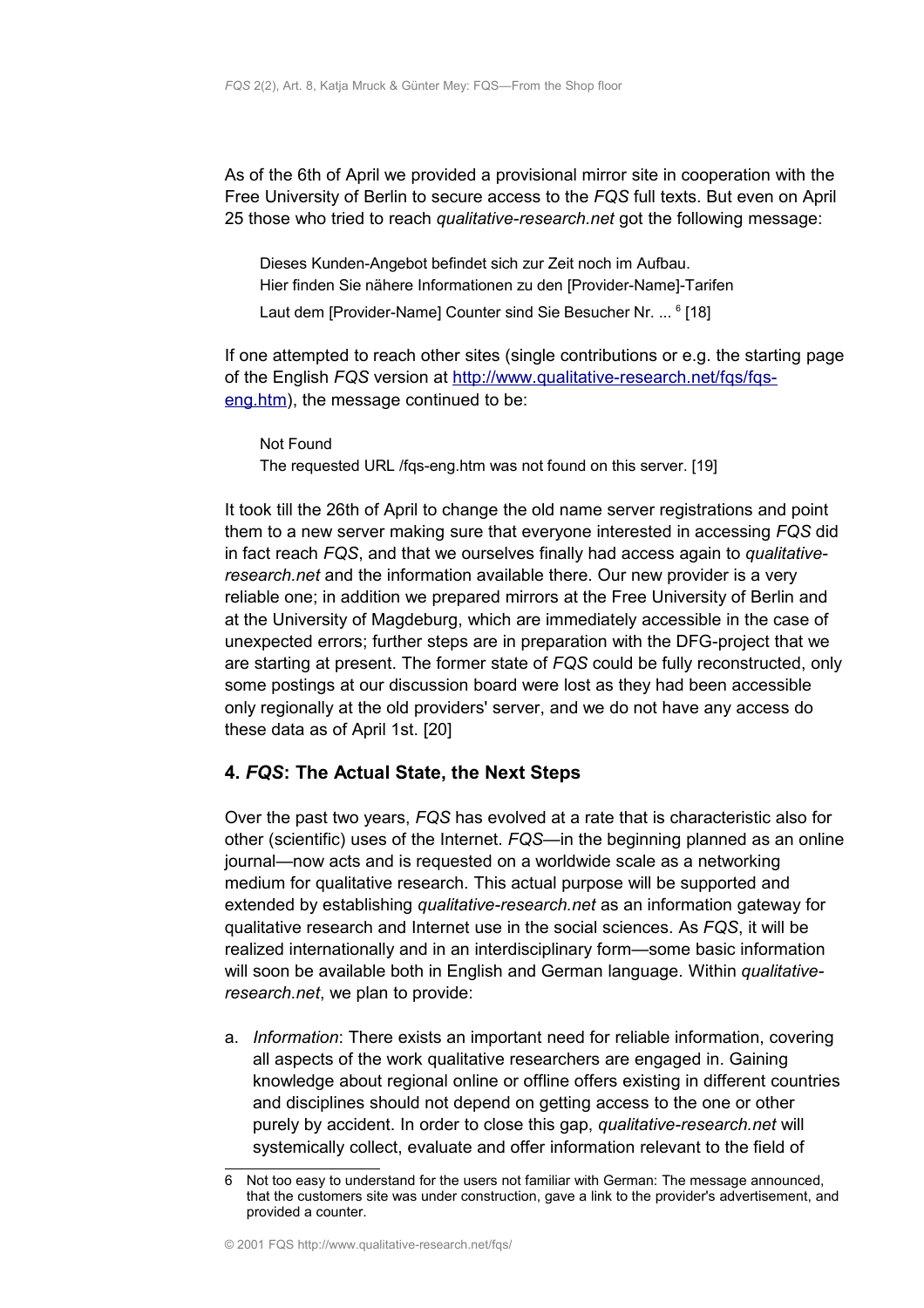As of the 6th of April we provided a provisional mirror site in cooperation with the Free University of Berlin to secure access to the *FQS* full texts. But even on April 25 those who tried to reach *qualitative-research.net* got the following message:

Dieses Kunden-Angebot befindet sich zur Zeit noch im Aufbau. Hier finden Sie nähere Informationen zu den [Provider-Name]-Tarifen Laut dem [Provider-Name] Counter sind Sie Besucher Nr. ... <sup>[6](#page-7-1)</sup> [18]

If one attempted to reach other sites (single contributions or e.g. the starting page of the English *FQS* version at [http://www.qualitative-research.net/fqs/fqs](http://www.qualitative-research.net/fqs/fqs-eng.htm)[eng.htm\)](http://www.qualitative-research.net/fqs/fqs-eng.htm), the message continued to be:

Not Found The requested URL /fqs-eng.htm was not found on this server. [19]

It took till the 26th of April to change the old name server registrations and point them to a new server making sure that everyone interested in accessing *FQS* did in fact reach *FQS*, and that we ourselves finally had access again to *qualitativeresearch.net* and the information available there. Our new provider is a very reliable one; in addition we prepared mirrors at the Free University of Berlin and at the University of Magdeburg, which are immediately accessible in the case of unexpected errors; further steps are in preparation with the DFG-project that we are starting at present. The former state of *FQS* could be fully reconstructed, only some postings at our discussion board were lost as they had been accessible only regionally at the old providers' server, and we do not have any access do these data as of April 1st. [20]

## <span id="page-7-0"></span>**4.** *FQS***: The Actual State, the Next Steps**

Over the past two years, *FQS* has evolved at a rate that is characteristic also for other (scientific) uses of the Internet. *FQS*—in the beginning planned as an online journal—now acts and is requested on a worldwide scale as a networking medium for qualitative research. This actual purpose will be supported and extended by establishing *qualitative-research.net* as an information gateway for qualitative research and Internet use in the social sciences. As *FQS*, it will be realized internationally and in an interdisciplinary form—some basic information will soon be available both in English and German language. Within *qualitativeresearch.net*, we plan to provide:

a. *Information*: There exists an important need for reliable information, covering all aspects of the work qualitative researchers are engaged in. Gaining knowledge about regional online or offline offers existing in different countries and disciplines should not depend on getting access to the one or other purely by accident. In order to close this gap, *qualitative-research.net* will systemically collect, evaluate and offer information relevant to the field of

<span id="page-7-1"></span><sup>6</sup> Not too easy to understand for the users not familiar with German: The message announced, that the customers site was under construction, gave a link to the provider's advertisement, and provided a counter.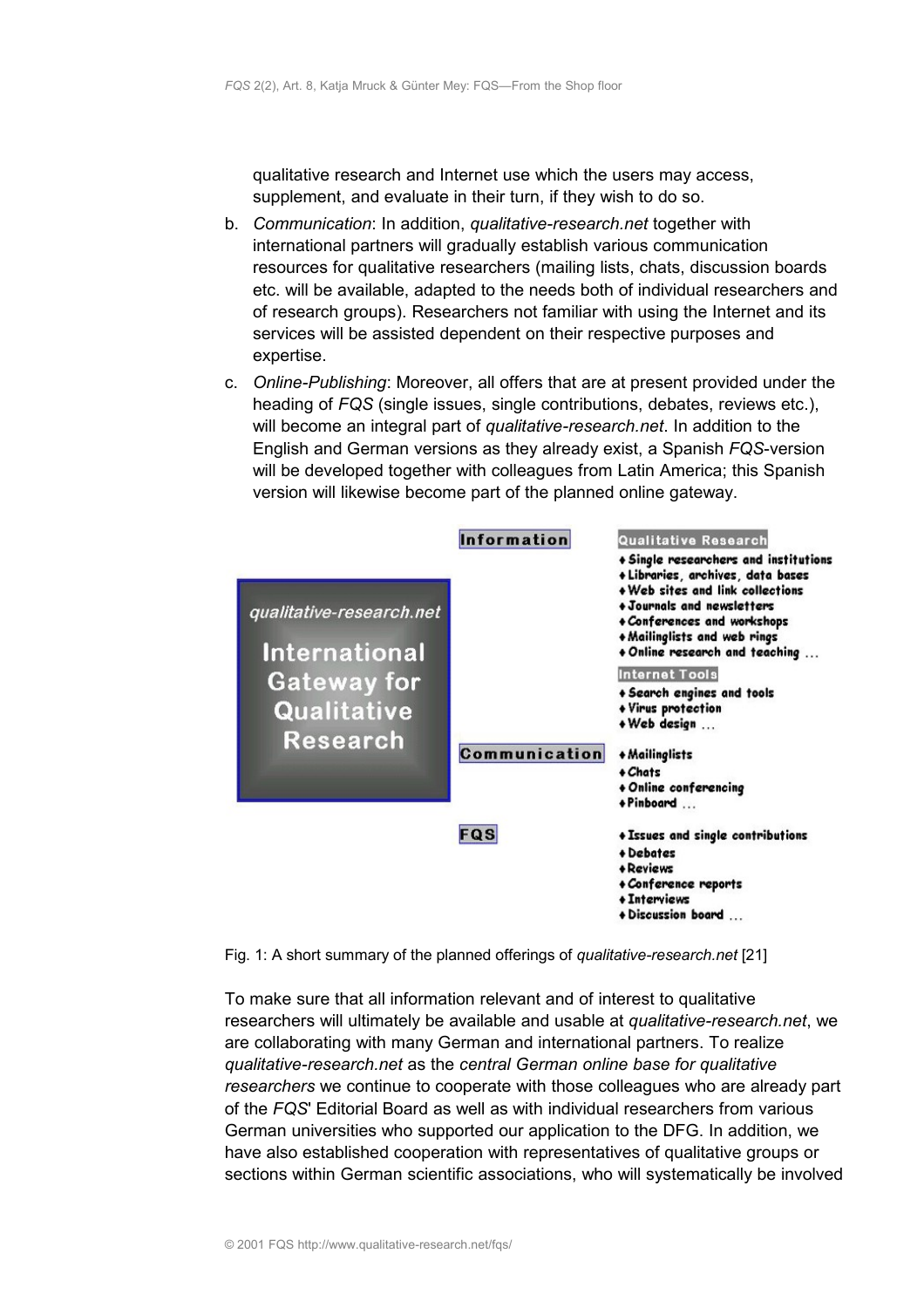qualitative research and Internet use which the users may access, supplement, and evaluate in their turn, if they wish to do so.

- b. *Communication*: In addition, *qualitative-research.net* together with international partners will gradually establish various communication resources for qualitative researchers (mailing lists, chats, discussion boards etc. will be available, adapted to the needs both of individual researchers and of research groups). Researchers not familiar with using the Internet and its services will be assisted dependent on their respective purposes and expertise.
- c. *Online-Publishing*: Moreover, all offers that are at present provided under the heading of *FQS* (single issues, single contributions, debates, reviews etc.), will become an integral part of *qualitative-research.net*. In addition to the English and German versions as they already exist, a Spanish *FQS*-version will be developed together with colleagues from Latin America; this Spanish version will likewise become part of the planned online gateway.



Fig. 1: A short summary of the planned offerings of *qualitative-research.net* [21]

To make sure that all information relevant and of interest to qualitative researchers will ultimately be available and usable at *qualitative-research.net*, we are collaborating with many German and international partners. To realize *qualitative-research.net* as the *central German online base for qualitative researchers* we continue to cooperate with those colleagues who are already part of the *FQS*' Editorial Board as well as with individual researchers from various German universities who supported our application to the DFG. In addition, we have also established cooperation with representatives of qualitative groups or sections within German scientific associations, who will systematically be involved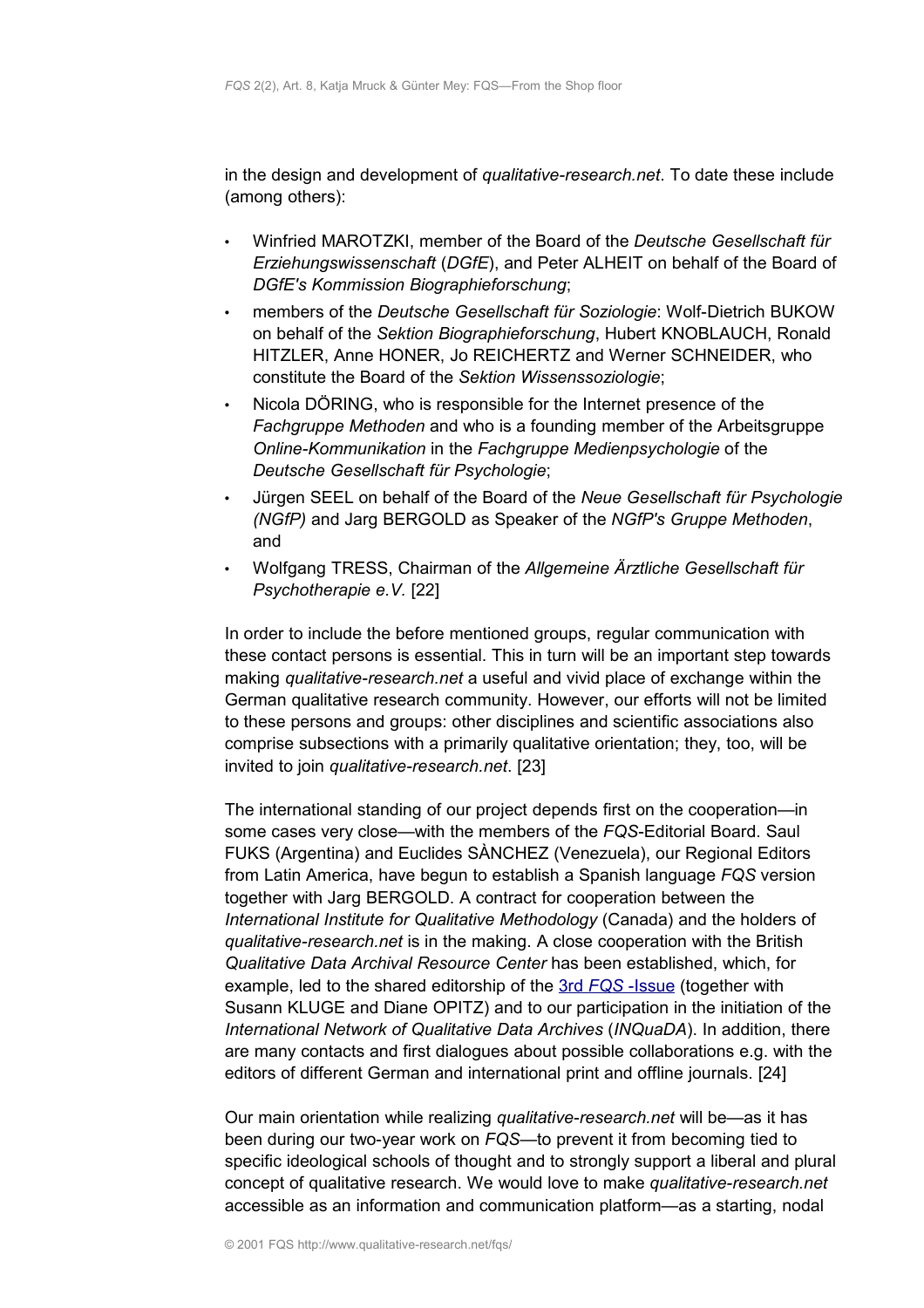in the design and development of *qualitative-research.net*. To date these include (among others):

- Winfried MAROTZKI, member of the Board of the *Deutsche Gesellschaft für Erziehungswissenschaft* (*DGfE*), and Peter ALHEIT on behalf of the Board of *DGfE's Kommission Biographieforschung*;
- members of the *Deutsche Gesellschaft für Soziologie*: Wolf-Dietrich BUKOW on behalf of the *Sektion Biographieforschung*, Hubert KNOBLAUCH, Ronald HITZLER, Anne HONER, Jo REICHERTZ and Werner SCHNEIDER, who constitute the Board of the *Sektion Wissenssoziologie*;
- Nicola DÖRING, who is responsible for the Internet presence of the *Fachgruppe Methoden* and who is a founding member of the Arbeitsgruppe *Online-Kommunikation* in the *Fachgruppe Medienpsychologie* of the *Deutsche Gesellschaft für Psychologie*;
- Jürgen SEEL on behalf of the Board of the *Neue Gesellschaft für Psychologie (NGfP)* and Jarg BERGOLD as Speaker of the *NGfP's Gruppe Methoden*, and
- Wolfgang TRESS, Chairman of the *Allgemeine Ärztliche Gesellschaft für Psychotherapie e.V.* [22]

In order to include the before mentioned groups, regular communication with these contact persons is essential. This in turn will be an important step towards making *qualitative-research.net* a useful and vivid place of exchange within the German qualitative research community. However, our efforts will not be limited to these persons and groups: other disciplines and scientific associations also comprise subsections with a primarily qualitative orientation; they, too, will be invited to join *qualitative-research.net*. [23]

The international standing of our project depends first on the cooperation—in some cases very close—with the members of the *FQS*-Editorial Board. Saul FUKS (Argentina) and Euclides SÀNCHEZ (Venezuela), our Regional Editors from Latin America, have begun to establish a Spanish language *FQS* version together with Jarg BERGOLD. A contract for cooperation between the *International Institute for Qualitative Methodology* (Canada) and the holders of *qualitative-research.net* is in the making. A close cooperation with the British *Qualitative Data Archival Resource Center* has been established, which, for example, led to the shared editorship of the [3rd](http://www.qualitative-research.net/fqs/fqs-e/inhalt3-00-e.htm) *[FQS](http://www.qualitative-research.net/fqs/fqs-e/inhalt3-00-e.htm)* [-Issue](http://www.qualitative-research.net/fqs/fqs-e/inhalt3-00-e.htm) (together with Susann KLUGE and Diane OPITZ) and to our participation in the initiation of the *International Network of Qualitative Data Archives* (*INQuaDA*). In addition, there are many contacts and first dialogues about possible collaborations e.g. with the editors of different German and international print and offline journals. [24]

Our main orientation while realizing *qualitative-research.net* will be—as it has been during our two-year work on *FQS*—to prevent it from becoming tied to specific ideological schools of thought and to strongly support a liberal and plural concept of qualitative research. We would love to make *qualitative-research.net* accessible as an information and communication platform—as a starting, nodal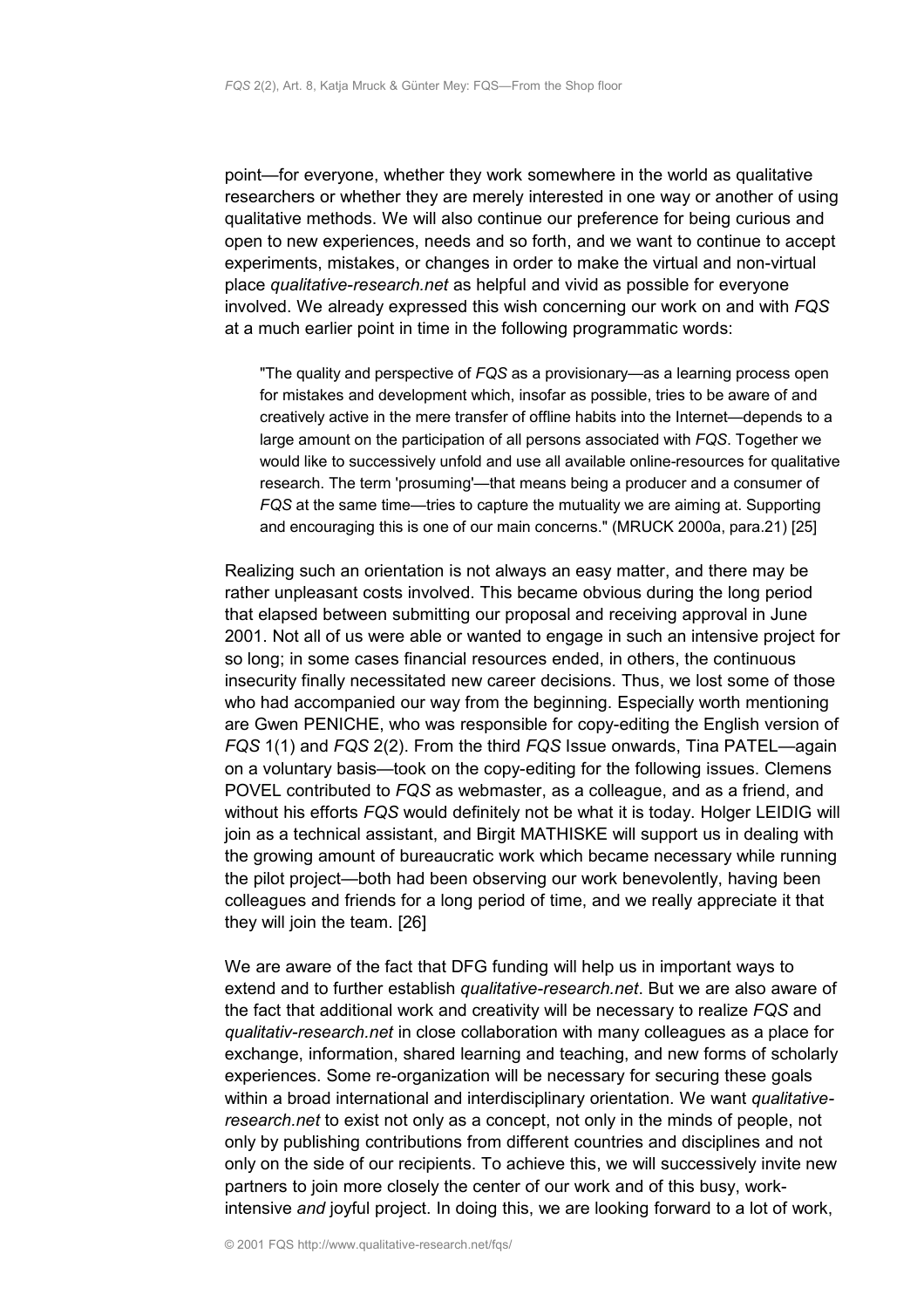point—for everyone, whether they work somewhere in the world as qualitative researchers or whether they are merely interested in one way or another of using qualitative methods. We will also continue our preference for being curious and open to new experiences, needs and so forth, and we want to continue to accept experiments, mistakes, or changes in order to make the virtual and non-virtual place *qualitative-research.net* as helpful and vivid as possible for everyone involved. We already expressed this wish concerning our work on and with *FQS* at a much earlier point in time in the following programmatic words:

"The quality and perspective of *FQS* as a provisionary—as a learning process open for mistakes and development which, insofar as possible, tries to be aware of and creatively active in the mere transfer of offline habits into the Internet—depends to a large amount on the participation of all persons associated with *FQS*. Together we would like to successively unfold and use all available online-resources for qualitative research. The term 'prosuming'—that means being a producer and a consumer of *FQS* at the same time—tries to capture the mutuality we are aiming at. Supporting and encouraging this is one of our main concerns." (MRUCK 2000a, para.21) [25]

Realizing such an orientation is not always an easy matter, and there may be rather unpleasant costs involved. This became obvious during the long period that elapsed between submitting our proposal and receiving approval in June 2001. Not all of us were able or wanted to engage in such an intensive project for so long; in some cases financial resources ended, in others, the continuous insecurity finally necessitated new career decisions. Thus, we lost some of those who had accompanied our way from the beginning. Especially worth mentioning are Gwen PENICHE, who was responsible for copy-editing the English version of *FQS* 1(1) and *FQS* 2(2). From the third *FQS* Issue onwards, Tina PATEL—again on a voluntary basis—took on the copy-editing for the following issues. Clemens POVEL contributed to *FQS* as webmaster, as a colleague, and as a friend, and without his efforts *FQS* would definitely not be what it is today. Holger LEIDIG will join as a technical assistant, and Birgit MATHISKE will support us in dealing with the growing amount of bureaucratic work which became necessary while running the pilot project—both had been observing our work benevolently, having been colleagues and friends for a long period of time, and we really appreciate it that they will join the team. [26]

We are aware of the fact that DFG funding will help us in important ways to extend and to further establish *qualitative-research.net*. But we are also aware of the fact that additional work and creativity will be necessary to realize *FQS* and *qualitativ-research.net* in close collaboration with many colleagues as a place for exchange, information, shared learning and teaching, and new forms of scholarly experiences. Some re-organization will be necessary for securing these goals within a broad international and interdisciplinary orientation. We want *qualitativeresearch.net* to exist not only as a concept, not only in the minds of people, not only by publishing contributions from different countries and disciplines and not only on the side of our recipients. To achieve this, we will successively invite new partners to join more closely the center of our work and of this busy, workintensive *and* joyful project. In doing this, we are looking forward to a lot of work,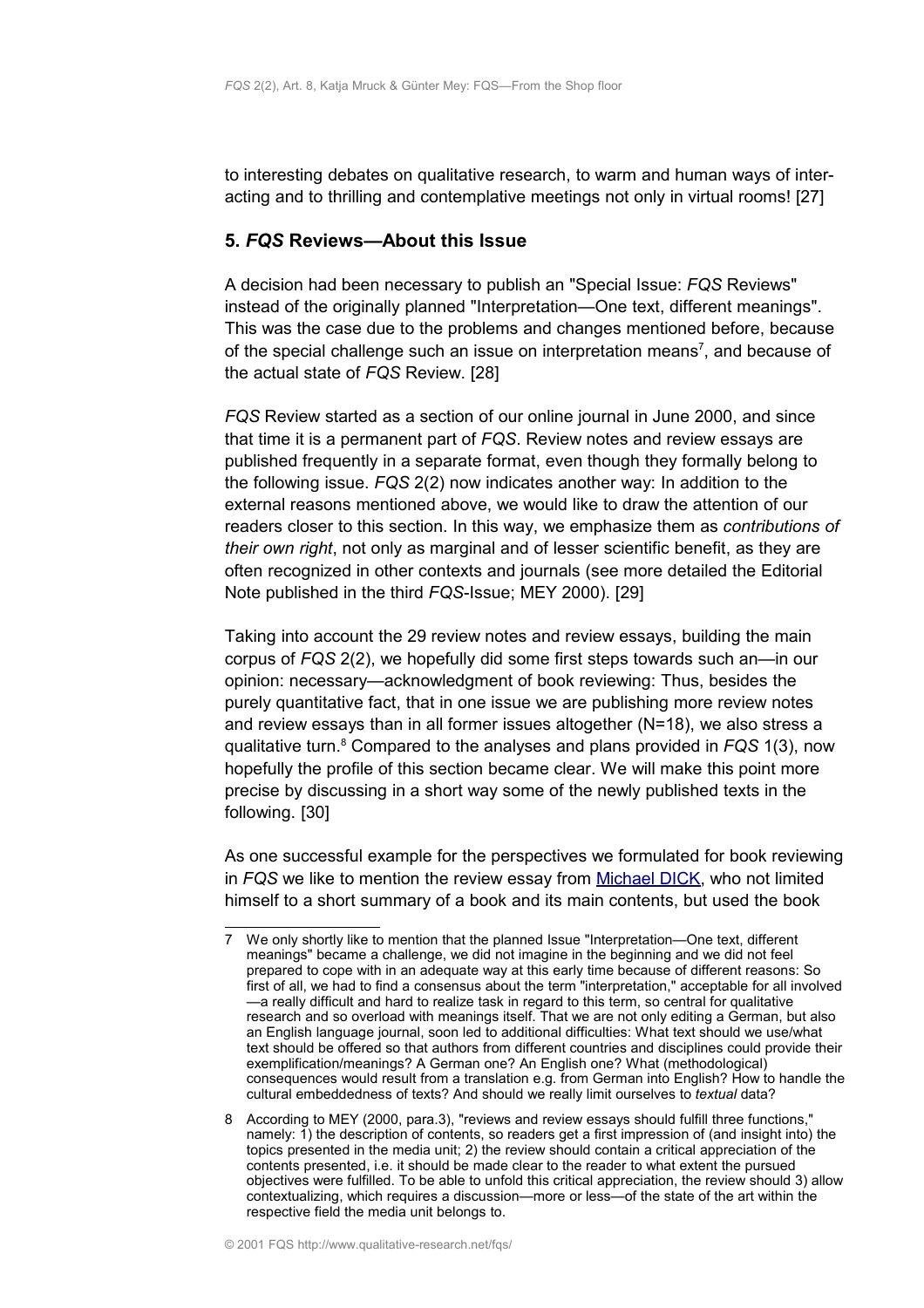to interesting debates on qualitative research, to warm and human ways of interacting and to thrilling and contemplative meetings not only in virtual rooms! [27]

#### <span id="page-11-0"></span>**5.** *FQS* **Reviews—About this Issue**

A decision had been necessary to publish an "Special Issue: *FQS* Reviews" instead of the originally planned "Interpretation—One text, different meanings". This was the case due to the problems and changes mentioned before, because of the special challenge such an issue on interpretation means<sup>[7](#page-11-1)</sup>, and because of the actual state of *FQS* Review. [28]

*FQS* Review started as a section of our online journal in June 2000, and since that time it is a permanent part of *FQS*. Review notes and review essays are published frequently in a separate format, even though they formally belong to the following issue. *FQS* 2(2) now indicates another way: In addition to the external reasons mentioned above, we would like to draw the attention of our readers closer to this section. In this way, we emphasize them as *contributions of their own right*, not only as marginal and of lesser scientific benefit, as they are often recognized in other contexts and journals (see more detailed the Editorial Note published in the third *FQS*-Issue; MEY 2000). [29]

Taking into account the 29 review notes and review essays, building the main corpus of *FQS* 2(2), we hopefully did some first steps towards such an—in our opinion: necessary—acknowledgment of book reviewing: Thus, besides the purely quantitative fact, that in one issue we are publishing more review notes and review essays than in all former issues altogether (N=18), we also stress a qualitative turn.<sup>[8](#page-11-2)</sup> Compared to the analyses and plans provided in *FQS* 1(3), now hopefully the profile of this section became clear. We will make this point more precise by discussing in a short way some of the newly published texts in the following. [30]

As one successful example for the perspectives we formulated for book reviewing in *FQS* we like to mention the review essay from [Michael DICK,](http://www.qualitative-research.net/fqs-texte/2-01/2-01review-dick-d.htm) who not limited himself to a short summary of a book and its main contents, but used the book

<span id="page-11-1"></span><sup>7</sup> We only shortly like to mention that the planned Issue "Interpretation—One text, different meanings" became a challenge, we did not imagine in the beginning and we did not feel prepared to cope with in an adequate way at this early time because of different reasons: So first of all, we had to find a consensus about the term "interpretation," acceptable for all involved —a really difficult and hard to realize task in regard to this term, so central for qualitative research and so overload with meanings itself. That we are not only editing a German, but also an English language journal, soon led to additional difficulties: What text should we use/what text should be offered so that authors from different countries and disciplines could provide their exemplification/meanings? A German one? An English one? What (methodological) consequences would result from a translation e.g. from German into English? How to handle the cultural embeddedness of texts? And should we really limit ourselves to *textual* data?

<span id="page-11-2"></span><sup>8</sup> According to MEY (2000, para.3), "reviews and review essays should fulfill three functions," namely: 1) the description of contents, so readers get a first impression of (and insight into) the topics presented in the media unit; 2) the review should contain a critical appreciation of the contents presented, i.e. it should be made clear to the reader to what extent the pursued objectives were fulfilled. To be able to unfold this critical appreciation, the review should 3) allow contextualizing, which requires a discussion—more or less—of the state of the art within the respective field the media unit belongs to.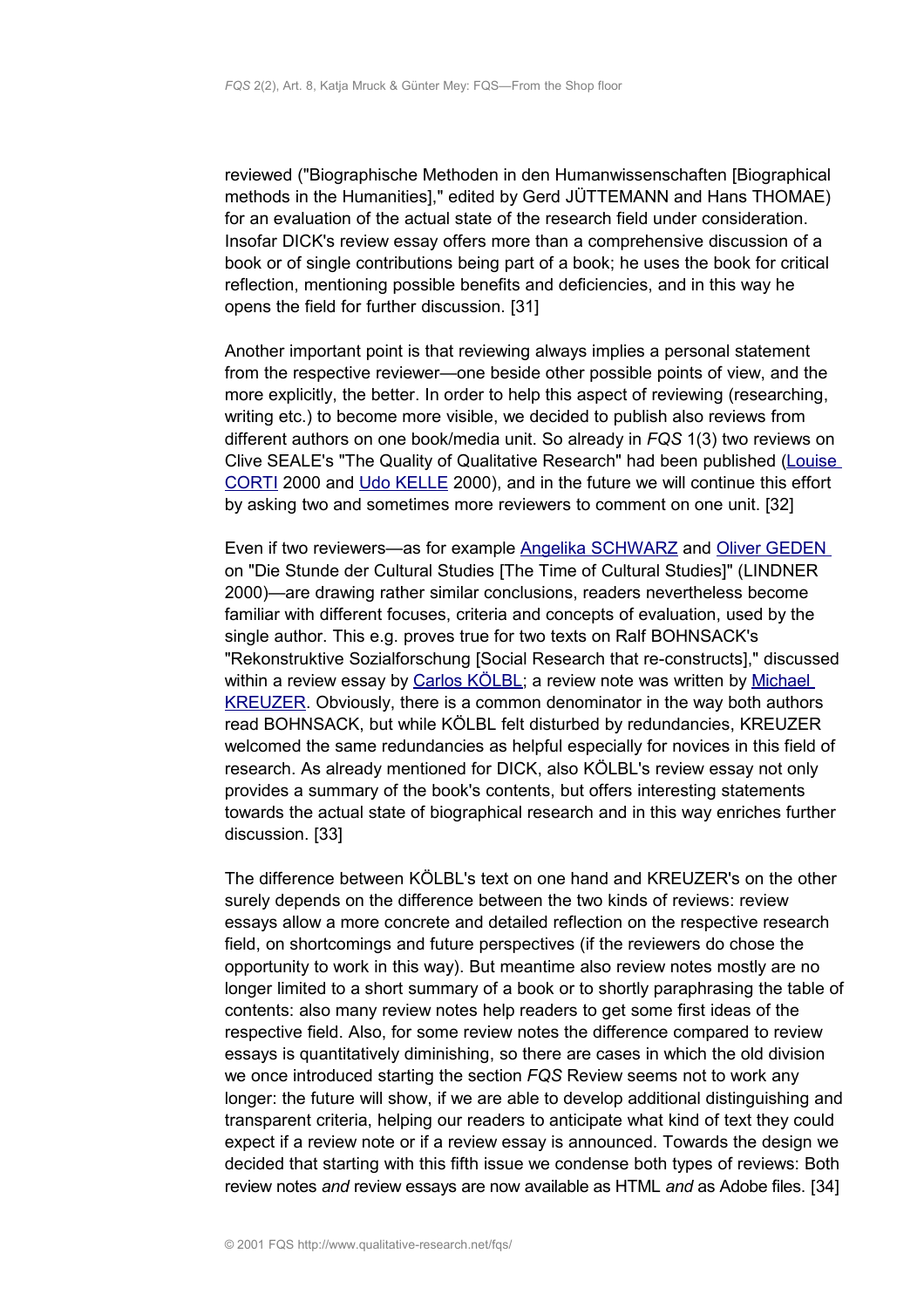reviewed ("Biographische Methoden in den Humanwissenschaften [Biographical methods in the Humanities]," edited by Gerd JÜTTEMANN and Hans THOMAE) for an evaluation of the actual state of the research field under consideration. Insofar DICK's review essay offers more than a comprehensive discussion of a book or of single contributions being part of a book; he uses the book for critical reflection, mentioning possible benefits and deficiencies, and in this way he opens the field for further discussion. [31]

Another important point is that reviewing always implies a personal statement from the respective reviewer—one beside other possible points of view, and the more explicitly, the better. In order to help this aspect of reviewing (researching, writing etc.) to become more visible, we decided to publish also reviews from different authors on one book/media unit. So already in *FQS* 1(3) two reviews on Clive SEALE's "The Quality of Qualitative Research" had been published [\(Louise](http://www.qualitative-research.net/fqs-texte/3-00/3-00review-corti-e.htm) [CORTI](http://www.qualitative-research.net/fqs-texte/3-00/3-00review-corti-e.htm) 2000 and [Udo KELLE](http://www.qualitative-research.net/fqs-texte/3-00/3-00review-kelle-d.htm) 2000), and in the future we will continue this effort by asking two and sometimes more reviewers to comment on one unit. [32]

Even if two reviewers—as for example [Angelika SCHWARZ](http://www.qualitative-research.net/fqs-texte/2-01/2-01review-schwarz-d.htm) and [Oliver GEDEN](http://www.qualitative-research.net/fqs-texte/2-01/2-01review-geden-d.htm) on "Die Stunde der Cultural Studies [The Time of Cultural Studies]" (LINDNER 2000)—are drawing rather similar conclusions, readers nevertheless become familiar with different focuses, criteria and concepts of evaluation, used by the single author. This e.g. proves true for two texts on Ralf BOHNSACK's "Rekonstruktive Sozialforschung [Social Research that re-constructs]," discussed within a review essay by [Carlos KÖLBL;](http://www.qualitative-research.net/fqs-texte/2-01/2-01review-koelbl-d.htm) a review note was written by [Michael](http://www.qualitative-research.net/fqs-texte/2-01/2-01review-kreuzer-d.htm) [KREUZER.](http://www.qualitative-research.net/fqs-texte/2-01/2-01review-kreuzer-d.htm) Obviously, there is a common denominator in the way both authors read BOHNSACK, but while KÖLBL felt disturbed by redundancies, KREUZER welcomed the same redundancies as helpful especially for novices in this field of research. As already mentioned for DICK, also KÖLBL's review essay not only provides a summary of the book's contents, but offers interesting statements towards the actual state of biographical research and in this way enriches further discussion. [33]

The difference between KÖLBL's text on one hand and KREUZER's on the other surely depends on the difference between the two kinds of reviews: review essays allow a more concrete and detailed reflection on the respective research field, on shortcomings and future perspectives (if the reviewers do chose the opportunity to work in this way). But meantime also review notes mostly are no longer limited to a short summary of a book or to shortly paraphrasing the table of contents: also many review notes help readers to get some first ideas of the respective field. Also, for some review notes the difference compared to review essays is quantitatively diminishing, so there are cases in which the old division we once introduced starting the section *FQS* Review seems not to work any longer: the future will show, if we are able to develop additional distinguishing and transparent criteria, helping our readers to anticipate what kind of text they could expect if a review note or if a review essay is announced. Towards the design we decided that starting with this fifth issue we condense both types of reviews: Both review notes *and* review essays are now available as HTML *and* as Adobe files. [34]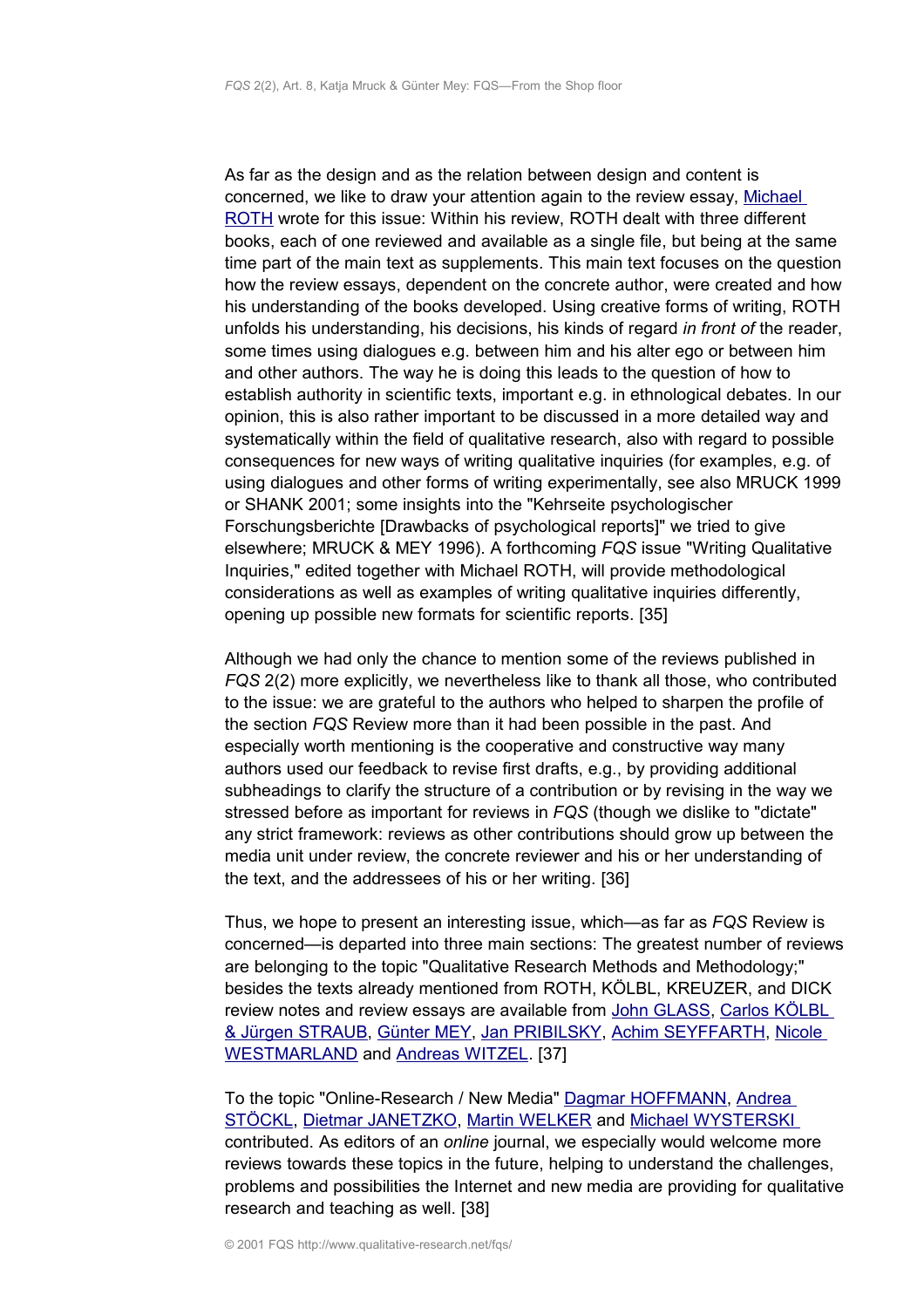As far as the design and as the relation between design and content is concerned, we like to draw your attention again to the review essay, [Michael](http://www.qualitative-research.net/fqs-texte/2-01/2-01review-roth-e.htm) [ROTH](http://www.qualitative-research.net/fqs-texte/2-01/2-01review-roth-e.htm) wrote for this issue: Within his review, ROTH dealt with three different books, each of one reviewed and available as a single file, but being at the same time part of the main text as supplements. This main text focuses on the question how the review essays, dependent on the concrete author, were created and how his understanding of the books developed. Using creative forms of writing, ROTH unfolds his understanding, his decisions, his kinds of regard *in front of* the reader, some times using dialogues e.g. between him and his alter ego or between him and other authors. The way he is doing this leads to the question of how to establish authority in scientific texts, important e.g. in ethnological debates. In our opinion, this is also rather important to be discussed in a more detailed way and systematically within the field of qualitative research, also with regard to possible consequences for new ways of writing qualitative inquiries (for examples, e.g. of using dialogues and other forms of writing experimentally, see also MRUCK 1999 or SHANK 2001; some insights into the "Kehrseite psychologischer Forschungsberichte [Drawbacks of psychological reports]" we tried to give elsewhere; MRUCK & MEY 1996). A forthcoming *FQS* issue "Writing Qualitative Inquiries," edited together with Michael ROTH, will provide methodological considerations as well as examples of writing qualitative inquiries differently, opening up possible new formats for scientific reports. [35]

Although we had only the chance to mention some of the reviews published in *FQS* 2(2) more explicitly, we nevertheless like to thank all those, who contributed to the issue: we are grateful to the authors who helped to sharpen the profile of the section *FQS* Review more than it had been possible in the past. And especially worth mentioning is the cooperative and constructive way many authors used our feedback to revise first drafts, e.g., by providing additional subheadings to clarify the structure of a contribution or by revising in the way we stressed before as important for reviews in *FQS* (though we dislike to "dictate" any strict framework: reviews as other contributions should grow up between the media unit under review, the concrete reviewer and his or her understanding of the text, and the addressees of his or her writing. [36]

Thus, we hope to present an interesting issue, which—as far as *FQS* Review is concerned—is departed into three main sections: The greatest number of reviews are belonging to the topic "Qualitative Research Methods and Methodology;" besides the texts already mentioned from ROTH, KÖLBL, KREUZER, and DICK review notes and review essays are available from [John GLASS,](http://www.qualitative-research.net/fqs-texte/2-01/2-01review-glass-e.htm) [Carlos KÖLBL](http://www.qualitative-research.net/fqs-texte/2-01/2-01review-koelblstraub-d.htm) [& Jürgen STRAUB,](http://www.qualitative-research.net/fqs-texte/2-01/2-01review-koelblstraub-d.htm) [Günter MEY,](http://www.qualitative-research.net/fqs-texte/2-01/2-01review-mey-d.htm) [Jan PRIBILSKY,](http://www.qualitative-research.net/fqs-texte/2-01/2-01review-pribilsky-e.htm) [Achim SEYFFARTH,](http://www.qualitative-research.net/fqs-texte/2-01/2-01review-seiffarth-d.htm) [Nicole](http://www.qualitative-research.net/fqs-texte/2-01/2-01review-westmarland-e.htm) [WESTMARLAND](http://www.qualitative-research.net/fqs-texte/2-01/2-01review-westmarland-e.htm) and [Andreas WITZEL.](http://www.qualitative-research.net/fqs-texte/2-01/2-01review-witzel-d.htm) [37]

To the topic "Online-Research / New Media" [Dagmar HOFFMANN,](http://www.qualitative-research.net/fqs-texte/2-01/2-01review-hoffmann-d.htm) [Andrea](http://www.qualitative-research.net/fqs-texte/2-01/2-01review-stoeckl-d.htm) [STÖCKL,](http://www.qualitative-research.net/fqs-texte/2-01/2-01review-stoeckl-d.htm) [Dietmar JANETZKO,](http://www.qualitative-research.net/fqs-texte/2-01/2-01review-janetzko-d.htm) [Martin WELKER](http://www.qualitative-research.net/fqs-texte/2-01/2-01review-welker-d.htm) and [Michael WYSTERSKI](http://www.qualitative-research.net/fqs-texte/2-01/2-01review-wysterski-d.htm) contributed. As editors of an *online* journal, we especially would welcome more reviews towards these topics in the future, helping to understand the challenges, problems and possibilities the Internet and new media are providing for qualitative research and teaching as well. [38]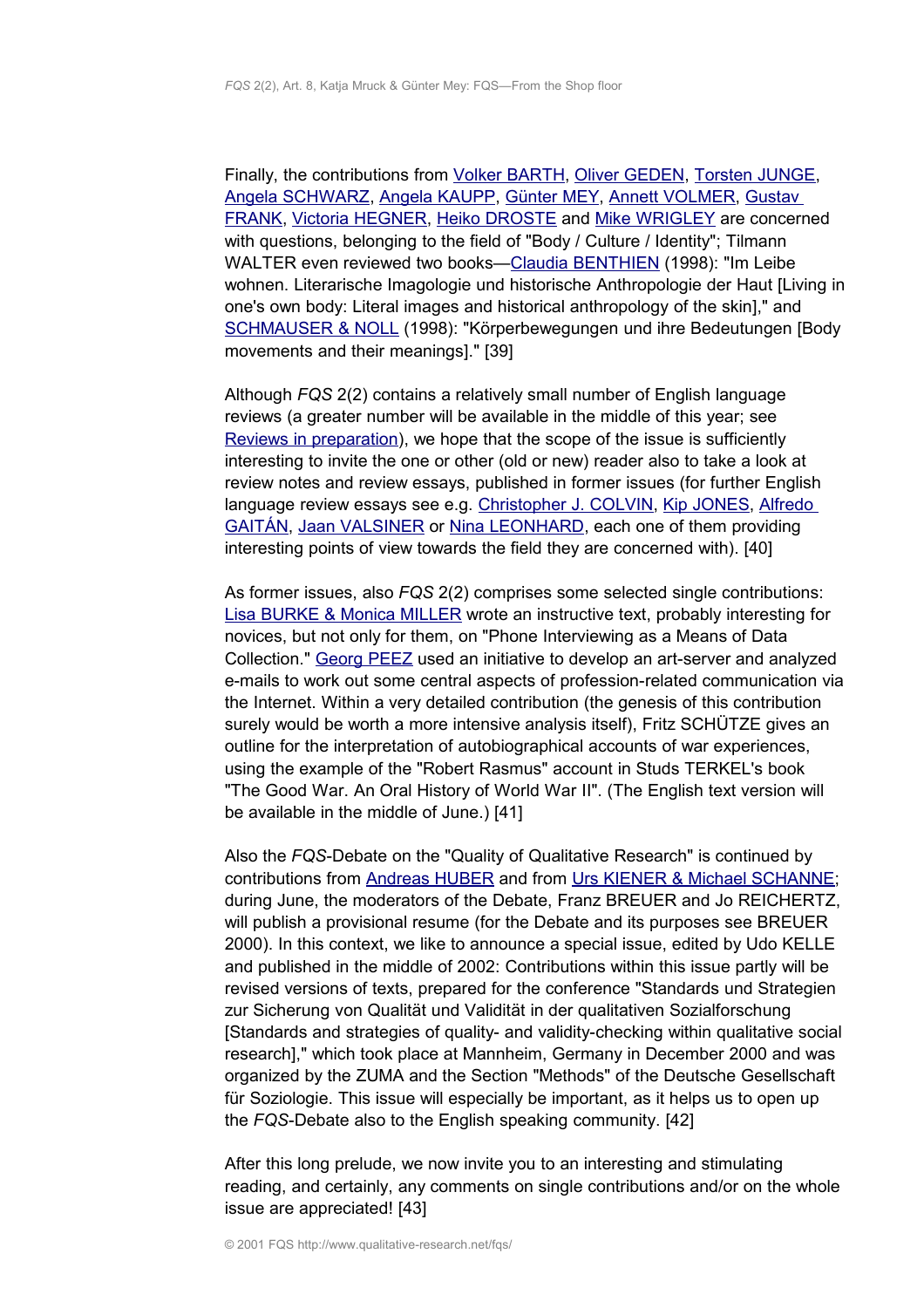Finally, the contributions from [Volker BARTH,](http://www.qualitative-research.net/fqs-texte/2-01/2-01review-barth-d.htm) [Oliver GEDEN,](http://www.qualitative-research.net/fqs-texte/2-01/2-01review-geden-d.htm) [Torsten JUNGE,](http://www.qualitative-research.net/fqs-texte/2-01/2-01review-junge-d.htm) [Angela SCHWARZ,](http://www.qualitative-research.net/fqs-texte/2-01/2-01review-schwarz-d.htm) [Angela KAUPP,](http://www.qualitative-research.net/fqs-texte/2-01/2-01review-kaupp-d.htm) [Günter MEY,](http://www.qualitative-research.net/fqs-texte/2-01/2-01review-mey2-d.htm) [Annett VOLMER,](http://www.qualitative-research.net/fqs-texte/2-01/2-01review-volmer-d.htm) [Gustav](http://www.qualitative-research.net/fqs-texte/2-01/2-01review-frank-d.htm) [FRANK,](http://www.qualitative-research.net/fqs-texte/2-01/2-01review-frank-d.htm) [Victoria HEGNER,](http://www.qualitative-research.net/fqs-texte/2-01/2-01review-hegner-d.htm) [Heiko DROSTE](http://www.qualitative-research.net/fqs-texte/2-01/2-01review-droste-d.htm) and [Mike WRIGLEY](http://www.qualitative-research.net/fqs-texte/2-01/2-01review-wrigley-e.htm) are concerned with questions, belonging to the field of "Body / Culture / Identity"; Tilmann WALTER even reviewed two books-Claudia BENTHIEN (1998): "Im Leibe wohnen. Literarische Imagologie und historische Anthropologie der Haut [Living in one's own body: Literal images and historical anthropology of the skin]," and [SCHMAUSER & NOLL](http://www.qualitative-research.net/fqs-texte/2-01/2-01review-walter2-d.htm) (1998): "Körperbewegungen und ihre Bedeutungen [Body movements and their meanings]." [39]

Although *FQS* 2(2) contains a relatively small number of English language reviews (a greater number will be available in the middle of this year; see [Reviews in preparation\)](http://www.qualitative-research.net/fqs/book-reviews/vorschau-review-e.htm), we hope that the scope of the issue is sufficiently interesting to invite the one or other (old or new) reader also to take a look at review notes and review essays, published in former issues (for further English language review essays see e.g. [Christopher J. COLVIN,](http://www.qualitative-research.net/fqs-texte/3-00/3-00review-colvin-e.htm) [Kip JONES,](http://www.qualitative-research.net/fqs-texte/3-00/3-00review-jones-e.htm) [Alfredo](http://www.qualitative-research.net/fqs-texte/3-00/3-00review-gaitan-e.htm) [GAITÁN,](http://www.qualitative-research.net/fqs-texte/3-00/3-00review-gaitan-e.htm) [Jaan VALSINER](http://www.qualitative-research.net/fqs-texte/1-01/1-01review-valsiner-e.htm) or [Nina LEONHARD,](http://www.qualitative-research.net/fqs-texte/2-00/2-00review-leonhard-e.htm) each one of them providing interesting points of view towards the field they are concerned with). [40]

As former issues, also *FQS* 2(2) comprises some selected single contributions: [Lisa BURKE & Monica MILLER](http://www.qualitative-research.net/fqs-texte/2-01/2-01burkemiller-e.htm) wrote an instructive text, probably interesting for novices, but not only for them, on "Phone Interviewing as a Means of Data Collection." [Georg PEEZ](http://www.qualitative-research.net/fqs-texte/2-01/2-01peez-e.htm) used an initiative to develop an art-server and analyzed e-mails to work out some central aspects of profession-related communication via the Internet. Within a very detailed contribution (the genesis of this contribution surely would be worth a more intensive analysis itself), Fritz SCHÜTZE gives an outline for the interpretation of autobiographical accounts of war experiences, using the example of the "Robert Rasmus" account in Studs TERKEL's book "The Good War. An Oral History of World War II". (The English text version will be available in the middle of June.) [41]

Also the *FQS*-Debate on the "Quality of Qualitative Research" is continued by contributions from [Andreas HUBER](http://www.qualitative-research.net/fqs-texte/2-01/2-01huber-e.htm) and from [Urs KIENER & Michael SCHANNE;](http://www.qualitative-research.net/fqs-texte/2-01/2-01kienerschanne-e.htm) during June, the moderators of the Debate, Franz BREUER and Jo REICHERTZ, will publish a provisional resume (for the Debate and its purposes see BREUER 2000). In this context, we like to announce a special issue, edited by Udo KELLE and published in the middle of 2002: Contributions within this issue partly will be revised versions of texts, prepared for the conference "Standards und Strategien zur Sicherung von Qualität und Validität in der qualitativen Sozialforschung [Standards and strategies of quality- and validity-checking within qualitative social research]," which took place at Mannheim, Germany in December 2000 and was organized by the ZUMA and the Section "Methods" of the Deutsche Gesellschaft für Soziologie. This issue will especially be important, as it helps us to open up the *FQS*-Debate also to the English speaking community. [42]

After this long prelude, we now invite you to an interesting and stimulating reading, and certainly, any comments on single contributions and/or on the whole issue are appreciated! [43]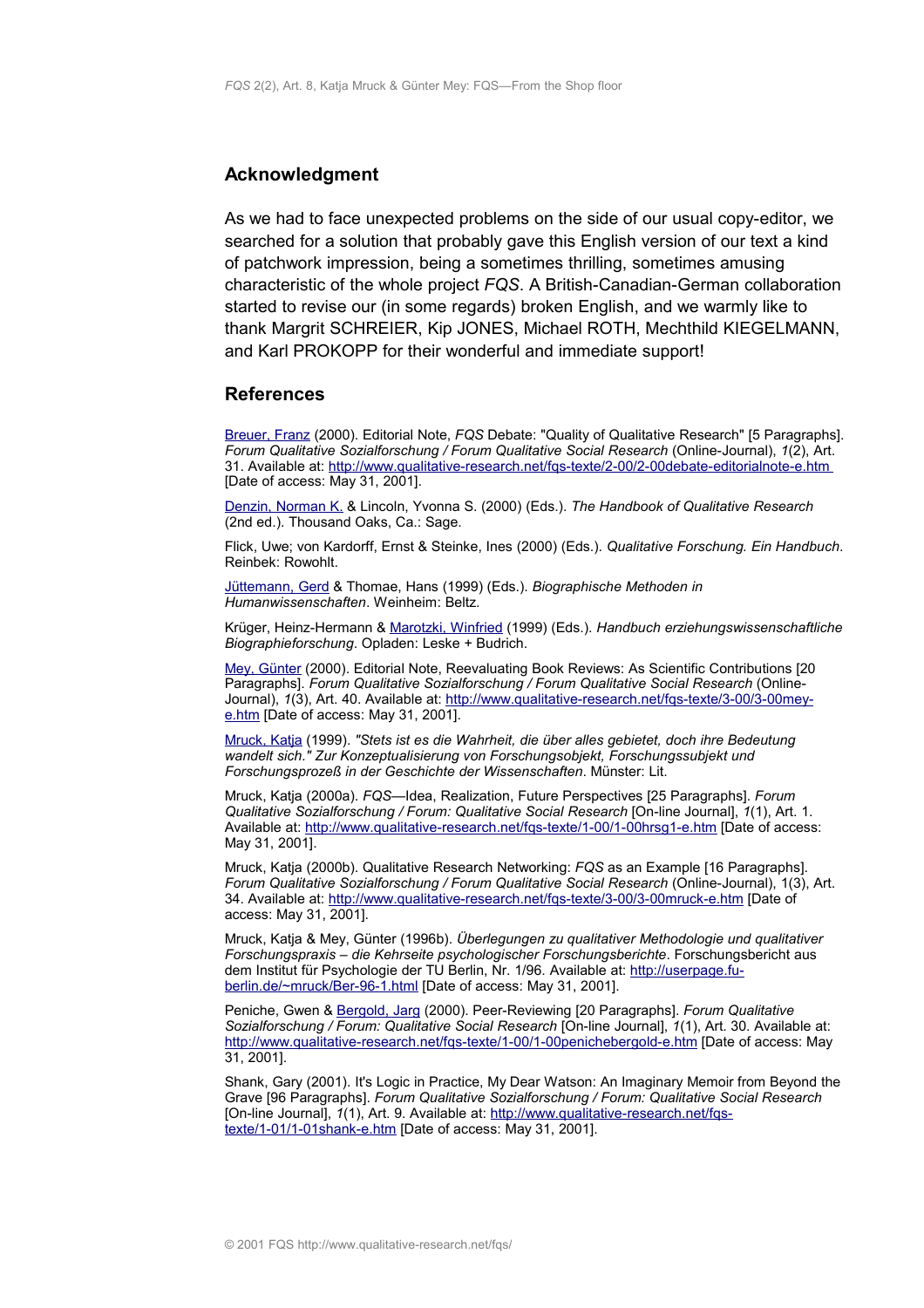#### <span id="page-15-1"></span>**Acknowledgment**

As we had to face unexpected problems on the side of our usual copy-editor, we searched for a solution that probably gave this English version of our text a kind of patchwork impression, being a sometimes thrilling, sometimes amusing characteristic of the whole project *FQS*. A British-Canadian-German collaboration started to revise our (in some regards) broken English, and we warmly like to thank Margrit SCHREIER, Kip JONES, Michael ROTH, Mechthild KIEGELMANN, and Karl PROKOPP for their wonderful and immediate support!

#### <span id="page-15-0"></span>**References**

[Breuer, Franz](http://www.qualitative-research.net/fqs/impressum/breuer-e.htm) (2000). Editorial Note, *FQS* Debate: "Quality of Qualitative Research" [5 Paragraphs]. *Forum Qualitative Sozialforschung / Forum Qualitative Social Research* (Online-Journal), *1*(2), Art. 31. Available at:<http://www.qualitative-research.net/fqs-texte/2-00/2-00debate-editorialnote-e.htm> [Date of access: May 31, 2001].

[Denzin, Norman K.](http://www.qualitative-research.net/fqs/beirat/denzin-e.htm) & Lincoln, Yvonna S. (2000) (Eds.). *The Handbook of Qualitative Research* (2nd ed.). Thousand Oaks, Ca.: Sage.

Flick, Uwe; von Kardorff, Ernst & Steinke, Ines (2000) (Eds.). *Qualitative Forschung. Ein Handbuch*. Reinbek: Rowohlt.

[Jüttemann, Gerd](http://www.qualitative-research.net/fqs/beirat/juettemann-e.htm) & Thomae, Hans (1999) (Eds.). *Biographische Methoden in Humanwissenschaften*. Weinheim: Beltz.

Krüger, Heinz-Hermann & [Marotzki, Winfried](http://www.qualitative-research.net/fqs/beirat/marotzki-e.htm) (1999) (Eds.). *Handbuch erziehungswissenschaftliche Biographieforschung*. Opladen: Leske + Budrich.

[Mey, Günter](http://www.qualitative-research.net/fqs/impressum/mey-e.htm) (2000). Editorial Note, Reevaluating Book Reviews: As Scientific Contributions [20 Paragraphs]. *Forum Qualitative Sozialforschung / Forum Qualitative Social Research* (OnlineJournal), 1(3), Art. 40. Available at: [http://www.qualitative-research.net/fqs-texte/3-00/3-00mey](http://www.qualitative-research.net/fqs-texte/3-00/3-00mey-e.htm)[e.htm](http://www.qualitative-research.net/fqs-texte/3-00/3-00mey-e.htm) [Date of access: May 31, 2001].

[Mruck, Katja](http://www.qualitative-research.net/fqs/impressum/mruck-e.htm) (1999). *"Stets ist es die Wahrheit, die über alles gebietet, doch ihre Bedeutung wandelt sich." Zur Konzeptualisierung von Forschungsobjekt, Forschungssubjekt und Forschungsprozeß in der Geschichte der Wissenschaften*. Münster: Lit.

Mruck, Katja (2000a). *FQS*—Idea, Realization, Future Perspectives [25 Paragraphs]. *Forum Qualitative Sozialforschung / Forum: Qualitative Social Research* [On-line Journal], *1*(1), Art. 1. Available at:<http://www.qualitative-research.net/fqs-texte/1-00/1-00hrsg1-e.htm>[Date of access: May 31, 2001].

Mruck, Katja (2000b). Qualitative Research Networking: *FQS* as an Example [16 Paragraphs]. *Forum Qualitative Sozialforschung / Forum Qualitative Social Research* (Online-Journal), 1(3), Art. 34. Available at:<http://www.qualitative-research.net/fqs-texte/3-00/3-00mruck-e.htm>[Date of access: May 31, 2001].

Mruck, Katja & Mey, Günter (1996b). *Überlegungen zu qualitativer Methodologie und qualitativer Forschungspraxis – die Kehrseite psychologischer Forschungsberichte*. Forschungsbericht aus dem Institut für Psychologie der TU Berlin, Nr. 1/96. Available at: [http://userpage.fu](http://userpage.fu-berlin.de/~mruck/Ber-96-1.html)[berlin.de/~mruck/Ber-96-1.html](http://userpage.fu-berlin.de/~mruck/Ber-96-1.html) [Date of access: May 31, 2001].

Peniche, Gwen & [Bergold, Jarg](http://www.qualitative-research.net/fqs/impressum/bergold-e.htm) (2000). Peer-Reviewing [20 Paragraphs]. *Forum Qualitative Sozialforschung / Forum: Qualitative Social Research* [On-line Journal], *1*(1), Art. 30. Available at: <http://www.qualitative-research.net/fqs-texte/1-00/1-00penichebergold-e.htm>[Date of access: May 31, 2001].

Shank, Gary (2001). It's Logic in Practice, My Dear Watson: An Imaginary Memoir from Beyond the Grave [96 Paragraphs]. *Forum Qualitative Sozialforschung / Forum: Qualitative Social Research* [On-line Journal], *1*(1), Art. 9. Available at: [http://www.qualitative-research.net/fqs](http://www.qualitative-research.net/fqs-texte/1-01/1-01shank-e.htm)[texte/1-01/1-01shank-e.htm](http://www.qualitative-research.net/fqs-texte/1-01/1-01shank-e.htm) [Date of access: May 31, 2001].